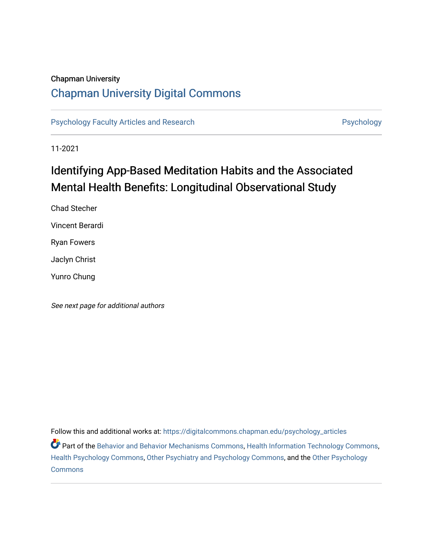# Chapman University

# [Chapman University Digital Commons](https://digitalcommons.chapman.edu/)

[Psychology Faculty Articles and Research](https://digitalcommons.chapman.edu/psychology_articles) **Psychology** Psychology

11-2021

# Identifying App-Based Meditation Habits and the Associated Mental Health Benefits: Longitudinal Observational Study

Chad Stecher Vincent Berardi Ryan Fowers Jaclyn Christ Yunro Chung

See next page for additional authors

Follow this and additional works at: [https://digitalcommons.chapman.edu/psychology\\_articles](https://digitalcommons.chapman.edu/psychology_articles?utm_source=digitalcommons.chapman.edu%2Fpsychology_articles%2F275&utm_medium=PDF&utm_campaign=PDFCoverPages)

Part of the [Behavior and Behavior Mechanisms Commons,](http://network.bepress.com/hgg/discipline/963?utm_source=digitalcommons.chapman.edu%2Fpsychology_articles%2F275&utm_medium=PDF&utm_campaign=PDFCoverPages) [Health Information Technology Commons,](http://network.bepress.com/hgg/discipline/1239?utm_source=digitalcommons.chapman.edu%2Fpsychology_articles%2F275&utm_medium=PDF&utm_campaign=PDFCoverPages) [Health Psychology Commons](http://network.bepress.com/hgg/discipline/411?utm_source=digitalcommons.chapman.edu%2Fpsychology_articles%2F275&utm_medium=PDF&utm_campaign=PDFCoverPages), [Other Psychiatry and Psychology Commons,](http://network.bepress.com/hgg/discipline/992?utm_source=digitalcommons.chapman.edu%2Fpsychology_articles%2F275&utm_medium=PDF&utm_campaign=PDFCoverPages) and the [Other Psychology](http://network.bepress.com/hgg/discipline/415?utm_source=digitalcommons.chapman.edu%2Fpsychology_articles%2F275&utm_medium=PDF&utm_campaign=PDFCoverPages)  [Commons](http://network.bepress.com/hgg/discipline/415?utm_source=digitalcommons.chapman.edu%2Fpsychology_articles%2F275&utm_medium=PDF&utm_campaign=PDFCoverPages)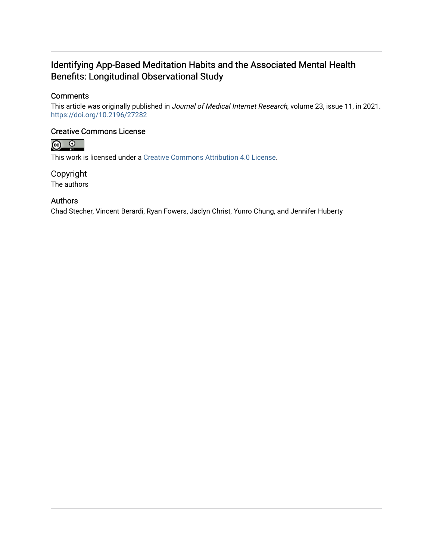# Identifying App-Based Meditation Habits and the Associated Mental Health Benefits: Longitudinal Observational Study

# **Comments**

This article was originally published in Journal of Medical Internet Research, volume 23, issue 11, in 2021. <https://doi.org/10.2196/27282>

# Creative Commons License



This work is licensed under a [Creative Commons Attribution 4.0 License](https://creativecommons.org/licenses/by/4.0/).

Copyright The authors

# Authors

Chad Stecher, Vincent Berardi, Ryan Fowers, Jaclyn Christ, Yunro Chung, and Jennifer Huberty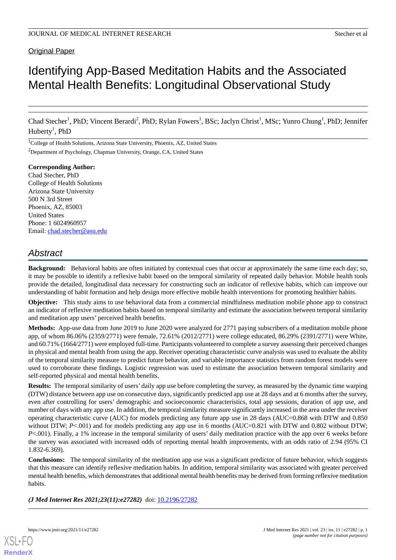# Original Paper

# Identifying App-Based Meditation Habits and the Associated Mental Health Benefits: Longitudinal Observational Study

Chad Stecher<sup>1</sup>, PhD; Vincent Berardi<sup>2</sup>, PhD; Rylan Fowers<sup>1</sup>, BSc; Jaclyn Christ<sup>1</sup>, MSc; Yunro Chung<sup>1</sup>, PhD; Jennifer Huberty<sup>1</sup>, PhD

<sup>1</sup>College of Health Solutions, Arizona State University, Phoenix, AZ, United States

<sup>2</sup>Department of Psychology, Chapman University, Orange, CA, United States

**Corresponding Author:** Chad Stecher, PhD College of Health Solutions Arizona State University 500 N 3rd Street Phoenix, AZ, 85003 United States Phone: 1 6024960957 Email: [chad.stecher@asu.edu](mailto:chad.stecher@asu.edu)

# *Abstract*

**Background:** Behavioral habits are often initiated by contextual cues that occur at approximately the same time each day; so, it may be possible to identify a reflexive habit based on the temporal similarity of repeated daily behavior. Mobile health tools provide the detailed, longitudinal data necessary for constructing such an indicator of reflexive habits, which can improve our understanding of habit formation and help design more effective mobile health interventions for promoting healthier habits.

**Objective:** This study aims to use behavioral data from a commercial mindfulness meditation mobile phone app to construct an indicator of reflexive meditation habits based on temporal similarity and estimate the association between temporal similarity and meditation app users' perceived health benefits.

**Methods:** App-use data from June 2019 to June 2020 were analyzed for 2771 paying subscribers of a meditation mobile phone app, of whom 86.06% (2359/2771) were female, 72.61% (2012/2771) were college educated, 86.29% (2391/2771) were White, and 60.71% (1664/2771) were employed full-time. Participants volunteered to complete a survey assessing their perceived changes in physical and mental health from using the app. Receiver operating characteristic curve analysis was used to evaluate the ability of the temporal similarity measure to predict future behavior, and variable importance statistics from random forest models were used to corroborate these findings. Logistic regression was used to estimate the association between temporal similarity and self-reported physical and mental health benefits.

**Results:** The temporal similarity of users' daily app use before completing the survey, as measured by the dynamic time warping (DTW) distance between app use on consecutive days, significantly predicted app use at 28 days and at 6 months after the survey, even after controlling for users' demographic and socioeconomic characteristics, total app sessions, duration of app use, and number of days with any app use. In addition, the temporal similarity measure significantly increased in the area under the receiver operating characteristic curve (AUC) for models predicting any future app use in 28 days (AUC=0.868 with DTW and 0.850 without DTW; *P*<.001) and for models predicting any app use in 6 months (AUC=0.821 with DTW and 0.802 without DTW; *P*<.001). Finally, a 1% increase in the temporal similarity of users' daily meditation practice with the app over 6 weeks before the survey was associated with increased odds of reporting mental health improvements, with an odds ratio of 2.94 (95% CI 1.832-6.369).

**Conclusions:** The temporal similarity of the meditation app use was a significant predictor of future behavior, which suggests that this measure can identify reflexive meditation habits. In addition, temporal similarity was associated with greater perceived mental health benefits, which demonstrates that additional mental health benefits may be derived from forming reflexive meditation habits.

*(J Med Internet Res 2021;23(11):e27282)* doi: [10.2196/27282](http://dx.doi.org/10.2196/27282)

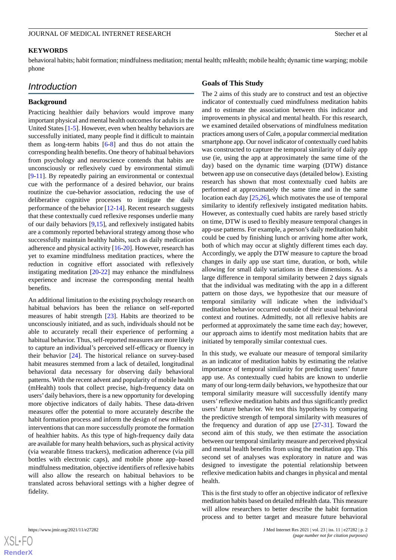#### **KEYWORDS**

behavioral habits; habit formation; mindfulness meditation; mental health; mHealth; mobile health; dynamic time warping; mobile phone

# *Introduction*

#### **Background**

Practicing healthier daily behaviors would improve many important physical and mental health outcomes for adults in the United States [\[1](#page-16-0)-[5](#page-17-0)]. However, even when healthy behaviors are successfully initiated, many people find it difficult to maintain them as long-term habits [\[6](#page-17-1)-[8](#page-17-2)] and thus do not attain the corresponding health benefits. One theory of habitual behaviors from psychology and neuroscience contends that habits are unconsciously or reflexively cued by environmental stimuli [[9](#page-17-3)[-11](#page-17-4)]. By repeatedly pairing an environmental or contextual cue with the performance of a desired behavior, our brains routinize the cue-behavior association, reducing the use of deliberative cognitive processes to instigate the daily performance of the behavior [[12-](#page-17-5)[14](#page-17-6)]. Recent research suggests that these contextually cued reflexive responses underlie many of our daily behaviors [\[9](#page-17-3),[15\]](#page-17-7), and reflexively instigated habits are a commonly reported behavioral strategy among those who successfully maintain healthy habits, such as daily medication adherence and physical activity [[16-](#page-17-8)[20](#page-17-9)]. However, research has yet to examine mindfulness meditation practices, where the reduction in cognitive effort associated with reflexively instigating meditation [\[20](#page-17-9)-[22\]](#page-17-10) may enhance the mindfulness experience and increase the corresponding mental health benefits.

An additional limitation to the existing psychology research on habitual behaviors has been the reliance on self-reported measures of habit strength [\[23](#page-17-11)]. Habits are theorized to be unconsciously initiated, and as such, individuals should not be able to accurately recall their experience of performing a habitual behavior. Thus, self-reported measures are more likely to capture an individual's perceived self-efficacy or fluency in their behavior [[24\]](#page-17-12). The historical reliance on survey-based habit measures stemmed from a lack of detailed, longitudinal behavioral data necessary for observing daily behavioral patterns. With the recent advent and popularity of mobile health (mHealth) tools that collect precise, high-frequency data on users'daily behaviors, there is a new opportunity for developing more objective indicators of daily habits. These data-driven measures offer the potential to more accurately describe the habit formation process and inform the design of new mHealth interventions that can more successfully promote the formation of healthier habits. As this type of high-frequency daily data are available for many health behaviors, such as physical activity (via wearable fitness trackers), medication adherence (via pill bottles with electronic caps), and mobile phone app–based mindfulness meditation, objective identifiers of reflexive habits will also allow the research on habitual behaviors to be translated across behavioral settings with a higher degree of fidelity.

## **Goals of This Study**

The 2 aims of this study are to construct and test an objective indicator of contextually cued mindfulness meditation habits and to estimate the association between this indicator and improvements in physical and mental health. For this research, we examined detailed observations of mindfulness meditation practices among users of *Calm,* a popular commercial meditation smartphone app. Our novel indicator of contextually cued habits was constructed to capture the temporal similarity of daily app use (ie, using the app at approximately the same time of the day) based on the dynamic time warping (DTW) distance between app use on consecutive days (detailed below). Existing research has shown that most contextually cued habits are performed at approximately the same time and in the same location each day [[25,](#page-17-13)[26](#page-17-14)], which motivates the use of temporal similarity to identify reflexively instigated meditation habits. However, as contextually cued habits are rarely based strictly on time, DTW is used to flexibly measure temporal changes in app-use patterns. For example, a person's daily meditation habit could be cued by finishing lunch or arriving home after work, both of which may occur at slightly different times each day. Accordingly, we apply the DTW measure to capture the broad changes in daily app use start time, duration, or both, while allowing for small daily variations in these dimensions. As a large difference in temporal similarity between 2 days signals that the individual was meditating with the app in a different pattern on those days, we hypothesize that our measure of temporal similarity will indicate when the individual's meditation behavior occurred outside of their usual behavioral context and routines. Admittedly, not all reflexive habits are performed at approximately the same time each day; however, our approach aims to identify most meditation habits that are initiated by temporally similar contextual cues.

In this study, we evaluate our measure of temporal similarity as an indicator of meditation habits by estimating the relative importance of temporal similarity for predicting users' future app use. As contextually cued habits are known to underlie many of our long-term daily behaviors, we hypothesize that our temporal similarity measure will successfully identify many users'reflexive meditation habits and thus significantly predict users' future behavior. We test this hypothesis by comparing the predictive strength of temporal similarity with measures of the frequency and duration of app use [[27](#page-17-15)[-31](#page-18-0)]. Toward the second aim of this study, we then estimate the association between our temporal similarity measure and perceived physical and mental health benefits from using the meditation app. This second set of analyses was exploratory in nature and was designed to investigate the potential relationship between reflexive medication habits and changes in physical and mental health.

This is the first study to offer an objective indicator of reflexive meditation habits based on detailed mHealth data. This measure will allow researchers to better describe the habit formation process and to better target and measure future behavioral

 $XSI - F($ **[RenderX](http://www.renderx.com/)**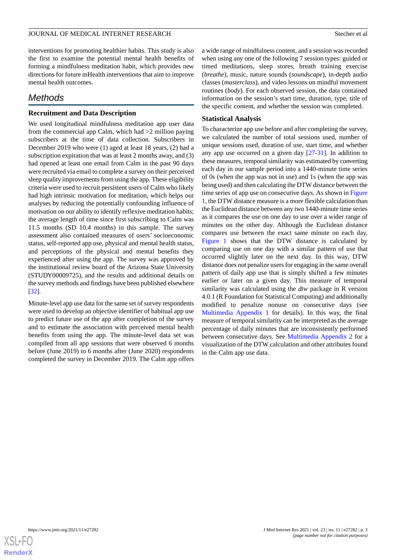interventions for promoting healthier habits. This study is also the first to examine the potential mental health benefits of forming a mindfulness meditation habit, which provides new directions for future mHealth interventions that aim to improve mental health outcomes.

# *Methods*

# **Recruitment and Data Description**

We used longitudinal mindfulness meditation app user data from the commercial app Calm, which had  $>2$  million paying subscribers at the time of data collection. Subscribers in December 2019 who were (1) aged at least 18 years, (2) had a subscription expiration that was at least 2 months away, and (3) had opened at least one email from Calm in the past 90 days were recruited via email to complete a survey on their perceived sleep quality improvements from using the app. These eligibility criteria were used to recruit persistent users of Calm who likely had high intrinsic motivation for meditation, which helps our analyses by reducing the potentially confounding influence of motivation on our ability to identify reflexive meditation habits; the average length of time since first subscribing to Calm was 11.5 months (SD 10.4 months) in this sample. The survey assessment also contained measures of users' socioeconomic status, self-reported app use, physical and mental health status, and perceptions of the physical and mental benefits they experienced after using the app. The survey was approved by the institutional review board of the Arizona State University (STUDY00009725), and the results and additional details on the survey methods and findings have been published elsewhere [[32\]](#page-18-1).

Minute-level app use data for the same set of survey respondents were used to develop an objective identifier of habitual app use to predict future use of the app after completion of the survey and to estimate the association with perceived mental health benefits from using the app. The minute-level data set was compiled from all app sessions that were observed 6 months before (June 2019) to 6 months after (June 2020) respondents completed the survey in December 2019. The Calm app offers

a wide range of mindfulness content, and a session was recorded when using any one of the following 7 session types: guided or timed meditations, sleep stores, breath training exercise (*breathe*), music, nature sounds (*soundscape*), in-depth audio classes (*masterclass*), and video lessons on mindful movement routines (*body*). For each observed session, the data contained information on the session's start time, duration, type, title of the specific content, and whether the session was completed.

# **Statistical Analysis**

To characterize app use before and after completing the survey, we calculated the number of total sessions used, number of unique sessions used, duration of use, start time, and whether any app use occurred on a given day  $[27-31]$  $[27-31]$  $[27-31]$  $[27-31]$ . In addition to these measures, temporal similarity was estimated by converting each day in our sample period into a 1440-minute time series of 0s (when the app was not in use) and 1s (when the app was being used) and then calculating the DTW distance between the time series of app use on consecutive days. As shown in [Figure](#page-5-0) [1,](#page-5-0) the DTW distance measure is a more flexible calculation than the Euclidean distance between any two 1440-minute time series as it compares the use on one day to use over a wider range of minutes on the other day. Although the Euclidean distance compares use between the exact same minute on each day, [Figure 1](#page-5-0) shows that the DTW distance is calculated by comparing use on one day with a similar pattern of use that occurred slightly later on the next day. In this way, DTW distance does not penalize users for engaging in the same overall pattern of daily app use that is simply shifted a few minutes earlier or later on a given day. This measure of temporal similarity was calculated using the *dtw* package in R version 4.0.1 (R Foundation for Statistical Computing) and additionally modified to penalize nonuse on consecutive days (see [Multimedia Appendix 1](#page-16-1) for details). In this way, the final measure of temporal similarity can be interpreted as the average percentage of daily minutes that are inconsistently performed between consecutive days. See [Multimedia Appendix 2](#page-16-2) for a visualization of the DTW calculation and other attributes found in the Calm app use data.

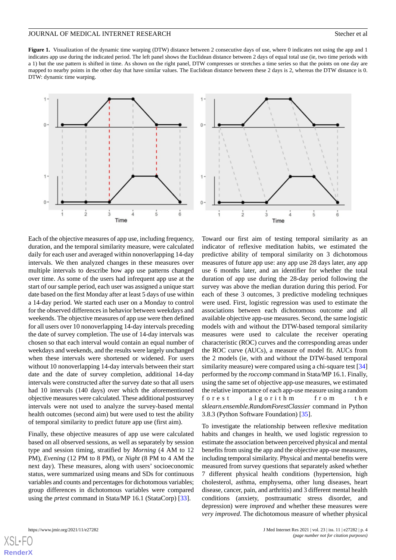<span id="page-5-0"></span>Figure 1. Visualization of the dynamic time warping (DTW) distance between 2 consecutive days of use, where 0 indicates not using the app and 1 indicates app use during the indicated period. The left panel shows the Euclidean distance between 2 days of equal total use (ie, two time periods with a 1) but the use pattern is shifted in time. As shown on the right panel, DTW compresses or stretches a time series so that the points on one day are mapped to nearby points in the other day that have similar values. The Euclidean distance between these 2 days is 2, whereas the DTW distance is 0. DTW: dynamic time warping.



Each of the objective measures of app use, including frequency, duration, and the temporal similarity measure, were calculated daily for each user and averaged within nonoverlapping 14-day intervals. We then analyzed changes in these measures over multiple intervals to describe how app use patterns changed over time. As some of the users had infrequent app use at the start of our sample period, each user was assigned a unique start date based on the first Monday after at least 5 days of use within a 14-day period. We started each user on a Monday to control for the observed differences in behavior between weekdays and weekends. The objective measures of app use were then defined for all users over 10 nonoverlapping 14-day intervals preceding the date of survey completion. The use of 14-day intervals was chosen so that each interval would contain an equal number of weekdays and weekends, and the results were largely unchanged when these intervals were shortened or widened. For users without 10 nonoverlapping 14-day intervals between their start date and the date of survey completion, additional 14-day intervals were constructed after the survey date so that all users had 10 intervals (140 days) over which the aforementioned objective measures were calculated. These additional postsurvey intervals were not used to analyze the survey-based mental health outcomes (second aim) but were used to test the ability of temporal similarity to predict future app use (first aim).

Finally, these objective measures of app use were calculated based on all observed sessions, as well as separately by session type and session timing, stratified by *Morning* (4 AM to 12 PM), *Evening* (12 PM to 8 PM), or *Night* (8 PM to 4 AM the next day). These measures, along with users' socioeconomic status, were summarized using means and SDs for continuous variables and counts and percentages for dichotomous variables; group differences in dichotomous variables were compared using the *prtest* command in Stata/MP 16.1 (StataCorp) [\[33](#page-18-2)].



Toward our first aim of testing temporal similarity as an indicator of reflexive meditation habits, we estimated the predictive ability of temporal similarity on 3 dichotomous measures of future app use: any app use 28 days later, any app use 6 months later, and an identifier for whether the total duration of app use during the 28-day period following the survey was above the median duration during this period. For each of these 3 outcomes, 3 predictive modeling techniques were used. First, logistic regression was used to estimate the associations between each dichotomous outcome and all available objective app-use measures. Second, the same logistic models with and without the DTW-based temporal similarity measures were used to calculate the receiver operating characteristic (ROC) curves and the corresponding areas under the ROC curve (AUCs), a measure of model fit. AUCs from the 2 models (ie, with and without the DTW-based temporal similarity measure) were compared using a chi-square test [\[34](#page-18-3)] performed by the *roccomp* command in Stata/MP 16.1. Finally, using the same set of objective app-use measures, we estimated the relative importance of each app-use measure using a random forest algorithm from the *sklearn.ensemble.RandomForestClassier* command in Python 3.8.3 (Python Software Foundation) [\[35](#page-18-4)].

To investigate the relationship between reflexive meditation habits and changes in health, we used logistic regression to estimate the association between perceived physical and mental benefits from using the app and the objective app-use measures, including temporal similarity. Physical and mental benefits were measured from survey questions that separately asked whether 7 different physical health conditions (hypertension, high cholesterol, asthma, emphysema, other lung diseases, heart disease, cancer, pain, and arthritis) and 3 different mental health conditions (anxiety, posttraumatic stress disorder, and depression) were *improved* and whether these measures were *very improved*. The dichotomous measure of whether physical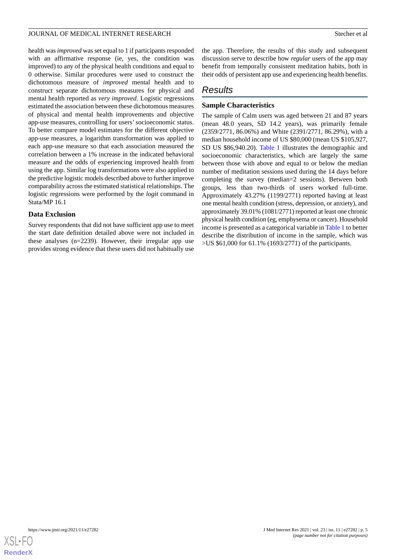health was *improved* was set equal to 1 if participants responded with an affirmative response (ie, yes, the condition was improved) to any of the physical health conditions and equal to 0 otherwise. Similar procedures were used to construct the dichotomous measure of *improved* mental health and to construct separate dichotomous measures for physical and mental health reported as *very improved*. Logistic regressions estimated the association between these dichotomous measures of physical and mental health improvements and objective app-use measures, controlling for users'socioeconomic status. To better compare model estimates for the different objective app-use measures, a logarithm transformation was applied to each app-use measure so that each association measured the correlation between a 1% increase in the indicated behavioral measure and the odds of experiencing improved health from using the app. Similar log transformations were also applied to the predictive logistic models described above to further improve comparability across the estimated statistical relationships. The logistic regressions were performed by the *logit* command in Stata/MP 16.1

#### **Data Exclusion**

Survey respondents that did not have sufficient app use to meet the start date definition detailed above were not included in these analyses (n=2239). However, their irregular app use provides strong evidence that these users did not habitually use

the app. Therefore, the results of this study and subsequent discussion serve to describe how *regular* users of the app may benefit from temporally consistent meditation habits, both in their odds of persistent app use and experiencing health benefits.

# *Results*

# **Sample Characteristics**

The sample of Calm users was aged between 21 and 87 years (mean 48.0 years, SD 14.2 years), was primarily female (2359/2771, 86.06%) and White (2391/2771, 86.29%), with a median household income of US \$80,000 (mean US \$105,927, SD US \$86,940.20). [Table 1](#page-7-0) illustrates the demographic and socioeconomic characteristics, which are largely the same between those with above and equal to or below the median number of meditation sessions used during the 14 days before completing the survey (median=2 sessions). Between both groups, less than two-thirds of users worked full-time. Approximately 43.27% (1199/2771) reported having at least one mental health condition (stress, depression, or anxiety), and approximately 39.01% (1081/2771) reported at least one chronic physical health condition (eg, emphysema or cancer). Household income is presented as a categorical variable in [Table 1](#page-7-0) to better describe the distribution of income in the sample, which was >US \$61,000 for 61.1% (1693/2771) of the participants.

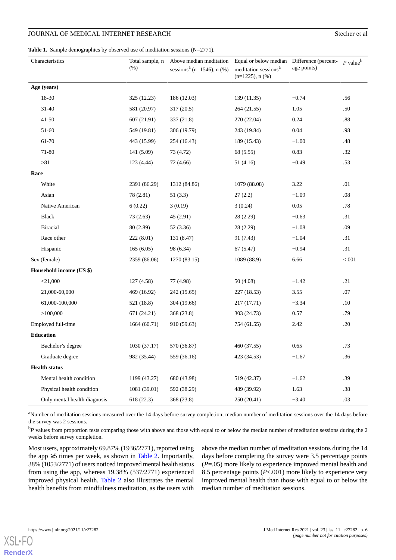<span id="page-7-0"></span>Table 1. Sample demographics by observed use of meditation sessions (N=2771).

|      | Characteristics              | Total sample, n<br>(% ) | Above median meditation<br>sessions <sup>a</sup> (n=1546), n $(\% )$ | Equal or below median<br>meditation sessions <sup>a</sup><br>$(n=1225)$ , n $(\%)$ | Difference (percent-<br>age points) | $P$ value <sup>b</sup> |
|------|------------------------------|-------------------------|----------------------------------------------------------------------|------------------------------------------------------------------------------------|-------------------------------------|------------------------|
|      | Age (years)                  |                         |                                                                      |                                                                                    |                                     |                        |
|      | 18-30                        | 325 (12.23)             | 186 (12.03)                                                          | 139 (11.35)                                                                        | $-0.74$                             | .56                    |
|      | $31 - 40$                    | 581 (20.97)             | 317 (20.5)                                                           | 264 (21.55)                                                                        | 1.05                                | .50                    |
|      | $41 - 50$                    | 607(21.91)              | 337 (21.8)                                                           | 270 (22.04)                                                                        | 0.24                                | .88                    |
|      | 51-60                        | 549 (19.81)             | 306 (19.79)                                                          | 243 (19.84)                                                                        | 0.04                                | .98                    |
|      | 61-70                        | 443 (15.99)             | 254 (16.43)                                                          | 189 (15.43)                                                                        | $-1.00$                             | .48                    |
|      | $71 - 80$                    | 141 (5.09)              | 73 (4.72)                                                            | 68 (5.55)                                                                          | 0.83                                | .32                    |
|      | >81                          | 123 (4.44)              | 72 (4.66)                                                            | 51 (4.16)                                                                          | $-0.49$                             | .53                    |
| Race |                              |                         |                                                                      |                                                                                    |                                     |                        |
|      | White                        | 2391 (86.29)            | 1312 (84.86)                                                         | 1079 (88.08)                                                                       | 3.22                                | .01                    |
|      | Asian                        | 78 (2.81)               | 51(3.3)                                                              | 27(2.2)                                                                            | $-1.09$                             | .08                    |
|      | Native American              | 6(0.22)                 | 3(0.19)                                                              | 3(0.24)                                                                            | 0.05                                | .78                    |
|      | Black                        | 73(2.63)                | 45(2.91)                                                             | 28(2.29)                                                                           | $-0.63$                             | .31                    |
|      | <b>Biracial</b>              | 80 (2.89)               | 52 (3.36)                                                            | 28 (2.29)                                                                          | $-1.08$                             | .09                    |
|      | Race other                   | 222(8.01)               | 131 (8.47)                                                           | 91 (7.43)                                                                          | $-1.04$                             | .31                    |
|      | Hispanic                     | 165(6.05)               | 98 (6.34)                                                            | 67(5.47)                                                                           | $-0.94$                             | .31                    |
|      | Sex (female)                 | 2359 (86.06)            | 1270 (83.15)                                                         | 1089 (88.9)                                                                        | 6.66                                | < 0.001                |
|      | Household income (US \$)     |                         |                                                                      |                                                                                    |                                     |                        |
|      | $<$ 21,000                   | 127(4.58)               | 77 (4.98)                                                            | 50 (4.08)                                                                          | $-1.42$                             | .21                    |
|      | 21,000-60,000                | 469 (16.92)             | 242 (15.65)                                                          | 227 (18.53)                                                                        | 3.55                                | .07                    |
|      | 61,000-100,000               | 521 (18.8)              | 304 (19.66)                                                          | 217 (17.71)                                                                        | $-3.34$                             | .10                    |
|      | >100,000                     | 671 (24.21)             | 368 (23.8)                                                           | 303 (24.73)                                                                        | 0.57                                | .79                    |
|      | Employed full-time           | 1664 (60.71)            | 910 (59.63)                                                          | 754 (61.55)                                                                        | 2.42                                | .20                    |
|      | <b>Education</b>             |                         |                                                                      |                                                                                    |                                     |                        |
|      | Bachelor's degree            | 1030 (37.17)            | 570 (36.87)                                                          | 460 (37.55)                                                                        | 0.65                                | .73                    |
|      | Graduate degree              | 982 (35.44)             | 559 (36.16)                                                          | 423 (34.53)                                                                        | $-1.67$                             | .36                    |
|      | <b>Health status</b>         |                         |                                                                      |                                                                                    |                                     |                        |
|      | Mental health condition      | 1199 (43.27)            | 680 (43.98)                                                          | 519 (42.37)                                                                        | $-1.62$                             | .39                    |
|      | Physical health condition    | 1081(39.01)             | 592 (38.29)                                                          | 489 (39.92)                                                                        | 1.63                                | .38                    |
|      | Only mental health diagnosis | 618 (22.3)              | 368 (23.8)                                                           | 250 (20.41)                                                                        | $-3.40$                             | .03                    |

<sup>a</sup>Number of meditation sessions measured over the 14 days before survey completion; median number of meditation sessions over the 14 days before the survey was 2 sessions.

<sup>b</sup>P values from proportion tests comparing those with above and those with equal to or below the median number of meditation sessions during the 2 weeks before survey completion.

Most users, approximately 69.87% (1936/2771), reported using the app  $\geq$ 5 times per week, as shown in [Table 2](#page-8-0). Importantly, 38% (1053/2771) of users noticed improved mental health status from using the app, whereas 19.38% (537/2771) experienced improved physical health. [Table 2](#page-8-0) also illustrates the mental health benefits from mindfulness meditation, as the users with

above the median number of meditation sessions during the 14 days before completing the survey were 3.5 percentage points (*P*=.05) more likely to experience improved mental health and 8.5 percentage points (*P*<.001) more likely to experience very improved mental health than those with equal to or below the median number of meditation sessions.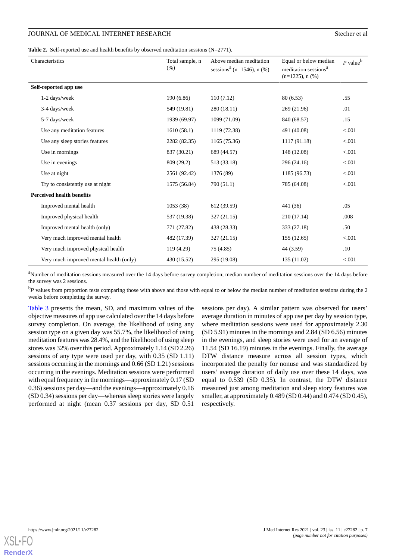## JOURNAL OF MEDICAL INTERNET RESEARCH Stecher et al.

<span id="page-8-0"></span>Table 2. Self-reported use and health benefits by observed meditation sessions (N=2771).

| Characteristics                         | Total sample, n<br>(% ) | Above median meditation<br>sessions <sup>a</sup> (n=1546), n $(\% )$ | Equal or below median<br>meditation sessions <sup>a</sup><br>$(n=1225)$ , n $(\%)$ | $P$ value <sup>b</sup> |
|-----------------------------------------|-------------------------|----------------------------------------------------------------------|------------------------------------------------------------------------------------|------------------------|
| Self-reported app use                   |                         |                                                                      |                                                                                    |                        |
| 1-2 days/week                           | 190(6.86)               | 110(7.12)                                                            | 80 (6.53)                                                                          | .55                    |
| 3-4 days/week                           | 549 (19.81)             | 280 (18.11)                                                          | 269 (21.96)                                                                        | .01                    |
| 5-7 days/week                           | 1939 (69.97)            | 1099 (71.09)                                                         | 840 (68.57)                                                                        | .15                    |
| Use any meditation features             | 1610(58.1)              | 1119 (72.38)                                                         | 491 (40.08)                                                                        | < 0.001                |
| Use any sleep stories features          | 2282 (82.35)            | 1165 (75.36)                                                         | 1117 (91.18)                                                                       | < 0.001                |
| Use in mornings                         | 837 (30.21)             | 689 (44.57)                                                          | 148 (12.08)                                                                        | < 0.001                |
| Use in evenings                         | 809 (29.2)              | 513 (33.18)                                                          | 296 (24.16)                                                                        | < 0.001                |
| Use at night                            | 2561 (92.42)            | 1376 (89)                                                            | 1185 (96.73)                                                                       | < 0.001                |
| Try to consistently use at night        | 1575 (56.84)            | 790 (51.1)                                                           | 785 (64.08)                                                                        | < 0.001                |
| <b>Perceived health benefits</b>        |                         |                                                                      |                                                                                    |                        |
| Improved mental health                  | 1053(38)                | 612 (39.59)                                                          | 441 (36)                                                                           | .05                    |
| Improved physical health                | 537 (19.38)             | 327 (21.15)                                                          | 210 (17.14)                                                                        | .008                   |
| Improved mental health (only)           | 771 (27.82)             | 438 (28.33)                                                          | 333 (27.18)                                                                        | .50                    |
| Very much improved mental health        | 482 (17.39)             | 327(21.15)                                                           | 155(12.65)                                                                         | < 0.001                |
| Very much improved physical health      | 119(4.29)               | 75(4.85)                                                             | 44 (3.59)                                                                          | .10                    |
| Very much improved mental health (only) | 430 (15.52)             | 295 (19.08)                                                          | 135 (11.02)                                                                        | < 0.001                |

<sup>a</sup>Number of meditation sessions measured over the 14 days before survey completion; median number of meditation sessions over the 14 days before the survey was 2 sessions.

<sup>b</sup>P values from proportion tests comparing those with above and those with equal to or below the median number of meditation sessions during the 2 weeks before completing the survey.

[Table 3](#page-9-0) presents the mean, SD, and maximum values of the objective measures of app use calculated over the 14 days before survey completion. On average, the likelihood of using any session type on a given day was 55.7%, the likelihood of using meditation features was 28.4%, and the likelihood of using sleep stores was 32% over this period. Approximately 1.14 (SD 2.26) sessions of any type were used per day, with 0.35 (SD 1.11) sessions occurring in the mornings and 0.66 (SD 1.21) sessions occurring in the evenings. Meditation sessions were performed with equal frequency in the mornings—approximately 0.17 (SD 0.36) sessions per day—and the evenings—approximately 0.16 (SD 0.34) sessions per day—whereas sleep stories were largely performed at night (mean 0.37 sessions per day, SD 0.51

sessions per day). A similar pattern was observed for users' average duration in minutes of app use per day by session type, where meditation sessions were used for approximately 2.30 (SD 5.91) minutes in the mornings and 2.84 (SD 6.56) minutes in the evenings, and sleep stories were used for an average of 11.54 (SD 16.19) minutes in the evenings. Finally, the average DTW distance measure across all session types, which incorporated the penalty for nonuse and was standardized by users' average duration of daily use over these 14 days, was equal to 0.539 (SD 0.35). In contrast, the DTW distance measured just among meditation and sleep story features was smaller, at approximately 0.489 (SD 0.44) and 0.474 (SD 0.45), respectively.

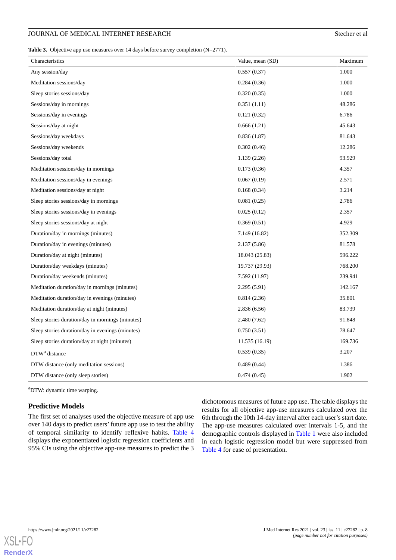<span id="page-9-0"></span>Table 3. Objective app use measures over 14 days before survey completion (N=2771).

| 1.000<br>Any session/day<br>0.557(0.37)<br>1.000<br>Meditation sessions/day<br>0.284(0.36)<br>1.000<br>Sleep stories sessions/day<br>0.320(0.35)<br>Sessions/day in mornings<br>0.351(1.11)<br>48.286<br>6.786<br>Sessions/day in evenings<br>0.121(0.32)<br>Sessions/day at night<br>0.666(1.21)<br>45.643<br>81.643<br>Sessions/day weekdays<br>0.836(1.87)<br>12.286<br>Sessions/day weekends<br>0.302(0.46)<br>93.929<br>Sessions/day total<br>1.139(2.26)<br>4.357<br>0.173(0.36)<br>Meditation sessions/day in mornings<br>0.067(0.19)<br>2.571<br>Meditation sessions/day in evenings<br>0.168(0.34)<br>3.214<br>Meditation sessions/day at night<br>2.786<br>0.081(0.25)<br>Sleep stories sessions/day in mornings<br>Sleep stories sessions/day in evenings<br>0.025(0.12)<br>2.357<br>0.369(0.51)<br>4.929<br>Sleep stories sessions/day at night<br>352.309<br>Duration/day in mornings (minutes)<br>7.149 (16.82)<br>81.578<br>Duration/day in evenings (minutes)<br>2.137 (5.86)<br>Duration/day at night (minutes)<br>18.043 (25.83)<br>596.222<br>768.200<br>Duration/day weekdays (minutes)<br>19.737 (29.93)<br>7.592 (11.97)<br>239.941<br>Duration/day weekends (minutes)<br>Meditation duration/day in mornings (minutes)<br>2.295(5.91)<br>142.167<br>35.801<br>Meditation duration/day in evenings (minutes)<br>0.814(2.36)<br>Meditation duration/day at night (minutes)<br>2.836(6.56)<br>83.739<br>91.848<br>2.480 (7.62)<br>Sleep stories duration/day in mornings (minutes)<br>Sleep stories duration/day in evenings (minutes)<br>0.750(3.51)<br>78.647<br>11.535 (16.19)<br>169.736<br>Sleep stories duration/day at night (minutes)<br>0.539(0.35)<br>3.207<br>DTW <sup>a</sup> distance<br>1.386<br>DTW distance (only meditation sessions)<br>0.489(0.44) | Characteristics | Value, mean (SD) | Maximum |
|-------------------------------------------------------------------------------------------------------------------------------------------------------------------------------------------------------------------------------------------------------------------------------------------------------------------------------------------------------------------------------------------------------------------------------------------------------------------------------------------------------------------------------------------------------------------------------------------------------------------------------------------------------------------------------------------------------------------------------------------------------------------------------------------------------------------------------------------------------------------------------------------------------------------------------------------------------------------------------------------------------------------------------------------------------------------------------------------------------------------------------------------------------------------------------------------------------------------------------------------------------------------------------------------------------------------------------------------------------------------------------------------------------------------------------------------------------------------------------------------------------------------------------------------------------------------------------------------------------------------------------------------------------------------------------------------------------------------------------------------------------------------------------------------|-----------------|------------------|---------|
|                                                                                                                                                                                                                                                                                                                                                                                                                                                                                                                                                                                                                                                                                                                                                                                                                                                                                                                                                                                                                                                                                                                                                                                                                                                                                                                                                                                                                                                                                                                                                                                                                                                                                                                                                                                           |                 |                  |         |
|                                                                                                                                                                                                                                                                                                                                                                                                                                                                                                                                                                                                                                                                                                                                                                                                                                                                                                                                                                                                                                                                                                                                                                                                                                                                                                                                                                                                                                                                                                                                                                                                                                                                                                                                                                                           |                 |                  |         |
|                                                                                                                                                                                                                                                                                                                                                                                                                                                                                                                                                                                                                                                                                                                                                                                                                                                                                                                                                                                                                                                                                                                                                                                                                                                                                                                                                                                                                                                                                                                                                                                                                                                                                                                                                                                           |                 |                  |         |
|                                                                                                                                                                                                                                                                                                                                                                                                                                                                                                                                                                                                                                                                                                                                                                                                                                                                                                                                                                                                                                                                                                                                                                                                                                                                                                                                                                                                                                                                                                                                                                                                                                                                                                                                                                                           |                 |                  |         |
|                                                                                                                                                                                                                                                                                                                                                                                                                                                                                                                                                                                                                                                                                                                                                                                                                                                                                                                                                                                                                                                                                                                                                                                                                                                                                                                                                                                                                                                                                                                                                                                                                                                                                                                                                                                           |                 |                  |         |
|                                                                                                                                                                                                                                                                                                                                                                                                                                                                                                                                                                                                                                                                                                                                                                                                                                                                                                                                                                                                                                                                                                                                                                                                                                                                                                                                                                                                                                                                                                                                                                                                                                                                                                                                                                                           |                 |                  |         |
|                                                                                                                                                                                                                                                                                                                                                                                                                                                                                                                                                                                                                                                                                                                                                                                                                                                                                                                                                                                                                                                                                                                                                                                                                                                                                                                                                                                                                                                                                                                                                                                                                                                                                                                                                                                           |                 |                  |         |
|                                                                                                                                                                                                                                                                                                                                                                                                                                                                                                                                                                                                                                                                                                                                                                                                                                                                                                                                                                                                                                                                                                                                                                                                                                                                                                                                                                                                                                                                                                                                                                                                                                                                                                                                                                                           |                 |                  |         |
|                                                                                                                                                                                                                                                                                                                                                                                                                                                                                                                                                                                                                                                                                                                                                                                                                                                                                                                                                                                                                                                                                                                                                                                                                                                                                                                                                                                                                                                                                                                                                                                                                                                                                                                                                                                           |                 |                  |         |
|                                                                                                                                                                                                                                                                                                                                                                                                                                                                                                                                                                                                                                                                                                                                                                                                                                                                                                                                                                                                                                                                                                                                                                                                                                                                                                                                                                                                                                                                                                                                                                                                                                                                                                                                                                                           |                 |                  |         |
|                                                                                                                                                                                                                                                                                                                                                                                                                                                                                                                                                                                                                                                                                                                                                                                                                                                                                                                                                                                                                                                                                                                                                                                                                                                                                                                                                                                                                                                                                                                                                                                                                                                                                                                                                                                           |                 |                  |         |
|                                                                                                                                                                                                                                                                                                                                                                                                                                                                                                                                                                                                                                                                                                                                                                                                                                                                                                                                                                                                                                                                                                                                                                                                                                                                                                                                                                                                                                                                                                                                                                                                                                                                                                                                                                                           |                 |                  |         |
|                                                                                                                                                                                                                                                                                                                                                                                                                                                                                                                                                                                                                                                                                                                                                                                                                                                                                                                                                                                                                                                                                                                                                                                                                                                                                                                                                                                                                                                                                                                                                                                                                                                                                                                                                                                           |                 |                  |         |
|                                                                                                                                                                                                                                                                                                                                                                                                                                                                                                                                                                                                                                                                                                                                                                                                                                                                                                                                                                                                                                                                                                                                                                                                                                                                                                                                                                                                                                                                                                                                                                                                                                                                                                                                                                                           |                 |                  |         |
|                                                                                                                                                                                                                                                                                                                                                                                                                                                                                                                                                                                                                                                                                                                                                                                                                                                                                                                                                                                                                                                                                                                                                                                                                                                                                                                                                                                                                                                                                                                                                                                                                                                                                                                                                                                           |                 |                  |         |
|                                                                                                                                                                                                                                                                                                                                                                                                                                                                                                                                                                                                                                                                                                                                                                                                                                                                                                                                                                                                                                                                                                                                                                                                                                                                                                                                                                                                                                                                                                                                                                                                                                                                                                                                                                                           |                 |                  |         |
|                                                                                                                                                                                                                                                                                                                                                                                                                                                                                                                                                                                                                                                                                                                                                                                                                                                                                                                                                                                                                                                                                                                                                                                                                                                                                                                                                                                                                                                                                                                                                                                                                                                                                                                                                                                           |                 |                  |         |
|                                                                                                                                                                                                                                                                                                                                                                                                                                                                                                                                                                                                                                                                                                                                                                                                                                                                                                                                                                                                                                                                                                                                                                                                                                                                                                                                                                                                                                                                                                                                                                                                                                                                                                                                                                                           |                 |                  |         |
|                                                                                                                                                                                                                                                                                                                                                                                                                                                                                                                                                                                                                                                                                                                                                                                                                                                                                                                                                                                                                                                                                                                                                                                                                                                                                                                                                                                                                                                                                                                                                                                                                                                                                                                                                                                           |                 |                  |         |
|                                                                                                                                                                                                                                                                                                                                                                                                                                                                                                                                                                                                                                                                                                                                                                                                                                                                                                                                                                                                                                                                                                                                                                                                                                                                                                                                                                                                                                                                                                                                                                                                                                                                                                                                                                                           |                 |                  |         |
|                                                                                                                                                                                                                                                                                                                                                                                                                                                                                                                                                                                                                                                                                                                                                                                                                                                                                                                                                                                                                                                                                                                                                                                                                                                                                                                                                                                                                                                                                                                                                                                                                                                                                                                                                                                           |                 |                  |         |
|                                                                                                                                                                                                                                                                                                                                                                                                                                                                                                                                                                                                                                                                                                                                                                                                                                                                                                                                                                                                                                                                                                                                                                                                                                                                                                                                                                                                                                                                                                                                                                                                                                                                                                                                                                                           |                 |                  |         |
|                                                                                                                                                                                                                                                                                                                                                                                                                                                                                                                                                                                                                                                                                                                                                                                                                                                                                                                                                                                                                                                                                                                                                                                                                                                                                                                                                                                                                                                                                                                                                                                                                                                                                                                                                                                           |                 |                  |         |
|                                                                                                                                                                                                                                                                                                                                                                                                                                                                                                                                                                                                                                                                                                                                                                                                                                                                                                                                                                                                                                                                                                                                                                                                                                                                                                                                                                                                                                                                                                                                                                                                                                                                                                                                                                                           |                 |                  |         |
|                                                                                                                                                                                                                                                                                                                                                                                                                                                                                                                                                                                                                                                                                                                                                                                                                                                                                                                                                                                                                                                                                                                                                                                                                                                                                                                                                                                                                                                                                                                                                                                                                                                                                                                                                                                           |                 |                  |         |
|                                                                                                                                                                                                                                                                                                                                                                                                                                                                                                                                                                                                                                                                                                                                                                                                                                                                                                                                                                                                                                                                                                                                                                                                                                                                                                                                                                                                                                                                                                                                                                                                                                                                                                                                                                                           |                 |                  |         |
|                                                                                                                                                                                                                                                                                                                                                                                                                                                                                                                                                                                                                                                                                                                                                                                                                                                                                                                                                                                                                                                                                                                                                                                                                                                                                                                                                                                                                                                                                                                                                                                                                                                                                                                                                                                           |                 |                  |         |
|                                                                                                                                                                                                                                                                                                                                                                                                                                                                                                                                                                                                                                                                                                                                                                                                                                                                                                                                                                                                                                                                                                                                                                                                                                                                                                                                                                                                                                                                                                                                                                                                                                                                                                                                                                                           |                 |                  |         |
| 1.902<br>0.474(0.45)<br>DTW distance (only sleep stories)                                                                                                                                                                                                                                                                                                                                                                                                                                                                                                                                                                                                                                                                                                                                                                                                                                                                                                                                                                                                                                                                                                                                                                                                                                                                                                                                                                                                                                                                                                                                                                                                                                                                                                                                 |                 |                  |         |

<sup>a</sup>DTW: dynamic time warping.

## **Predictive Models**

The first set of analyses used the objective measure of app use over 140 days to predict users' future app use to test the ability of temporal similarity to identify reflexive habits. [Table 4](#page-10-0) displays the exponentiated logistic regression coefficients and 95% CIs using the objective app-use measures to predict the 3

dichotomous measures of future app use. The table displays the results for all objective app-use measures calculated over the 6th through the 10th 14-day interval after each user's start date. The app-use measures calculated over intervals 1-5, and the demographic controls displayed in [Table 1](#page-7-0) were also included in each logistic regression model but were suppressed from [Table 4](#page-10-0) for ease of presentation.

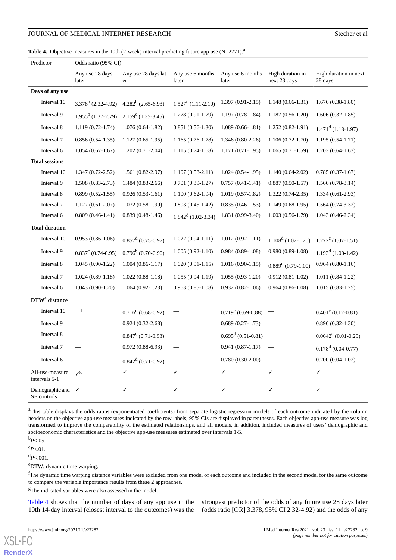<span id="page-10-0"></span>Table 4. Objective measures in the 10th (2-week) interval predicting future app use (N=2771).<sup>a</sup>

| Predictor                                   | Odds ratio (95% CI)      |                                             |                       |                           |                                  |                                  |  |
|---------------------------------------------|--------------------------|---------------------------------------------|-----------------------|---------------------------|----------------------------------|----------------------------------|--|
|                                             | Any use 28 days<br>later | Any use 28 days lat- Any use 6 months<br>er | later                 | Any use 6 months<br>later | High duration in<br>next 28 days | High duration in next<br>28 days |  |
| Days of any use                             |                          |                                             |                       |                           |                                  |                                  |  |
| Interval 10                                 | $3.378^b$ (2.32-4.92)    | $4.282^b$ (2.65-6.93)                       | $1.527^c$ (1.11-2.10) | $1.397(0.91-2.15)$        | $1.148(0.66-1.31)$               | $1.676(0.38-1.80)$               |  |
| Interval 9                                  | $1.955^b$ (1.37-2.79)    | $2.159^{\circ}$ (1.35-3.45)                 | 1.278 (0.91-1.79)     | $1.197(0.78-1.84)$        | $1.187(0.56-1.20)$               | $1.606(0.32-1.85)$               |  |
| Interval 8                                  | $1.119(0.72-1.74)$       | $1.076(0.64-1.82)$                          | $0.851(0.56-1.30)$    | $1.089(0.66-1.81)$        | $1.252(0.82-1.91)$               | $1.471d$ (1.13-1.97)             |  |
| Interval 7                                  | $0.856(0.54-1.35)$       | $1.127(0.65-1.95)$                          | $1.165(0.76-1.78)$    | $1.346(0.80-2.26)$        | $1.106(0.72-1.70)$               | $1.195(0.54-1.71)$               |  |
| Interval 6                                  | $1.054(0.67-1.67)$       | $1.202(0.71-2.04)$                          | $1.115(0.74-1.68)$    | $1.171(0.71-1.95)$        | $1.065(0.71-1.59)$               | $1.203(0.64-1.63)$               |  |
| <b>Total sessions</b>                       |                          |                                             |                       |                           |                                  |                                  |  |
| Interval 10                                 | $1.347(0.72 - 2.52)$     | $1.561(0.82-2.97)$                          | $1.107(0.58-2.11)$    | $1.024(0.54-1.95)$        | $1.140(0.64-2.02)$               | $0.785(0.37-1.67)$               |  |
| Interval 9                                  | $1.508(0.83-2.73)$       | $1.484(0.83-2.66)$                          | $0.701(0.39-1.27)$    | $0.757(0.41-1.41)$        | $0.887(0.50-1.57)$               | 1.566 (0.78-3.14)                |  |
| Interval 8                                  | $0.899(0.52-1.55)$       | $0.926(0.53-1.61)$                          | $1.100(0.62 - 1.94)$  | $1.019(0.57-1.82)$        | $1.322(0.74-2.35)$               | $1.334(0.61-2.93)$               |  |
| Interval 7                                  | $1.127(0.61-2.07)$       | $1.072(0.58-1.99)$                          | $0.803(0.45-1.42)$    | $0.835(0.46-1.53)$        | $1.149(0.68-1.95)$               | $1.564(0.74-3.32)$               |  |
| Interval 6                                  | $0.809(0.46-1.41)$       | $0.839(0.48-1.46)$                          | $1.842d$ (1.02-3.34)  | 1.831 (0.99-3.40)         | $1.003(0.56-1.79)$               | 1.043 (0.46-2.34)                |  |
| <b>Total duration</b>                       |                          |                                             |                       |                           |                                  |                                  |  |
| Interval 10                                 | $0.953(0.86-1.06)$       | $0.857^{\rm d}$ (0.75-0.97)                 | $1.022(0.94-1.11)$    | $1.012(0.92-1.11)$        | $1.108d$ (1.02-1.20)             | $1.272^c$ (1.07-1.51)            |  |
| Interval 9                                  | $0.837^c$ (0.74-0.95)    | $0.796^b$ (0.70-0.90)                       | $1.005(0.92-1.10)$    | $0.984(0.89-1.08)$        | $0.980(0.89-1.08)$               | $1.193d$ (1.00-1.42)             |  |
| Interval 8                                  | $1.045(0.90-1.22)$       | $1.004(0.86-1.17)$                          | $1.020(0.91-1.15)$    | $1.016(0.90-1.15)$        | $0.889d$ (0.79-1.00)             | $0.964(0.80-1.16)$               |  |
| Interval 7                                  | $1.024(0.89-1.18)$       | $1.022(0.88-1.18)$                          | $1.055(0.94-1.19)$    | $1.055(0.93-1.20)$        | $0.912(0.81-1.02)$               | $1.011(0.84-1.22)$               |  |
| Interval 6                                  | $1.043(0.90-1.20)$       | $1.064(0.92-1.23)$                          | $0.963(0.85-1.08)$    | $0.932(0.82-1.06)$        | $0.964(0.86-1.08)$               | $1.015(0.83-1.25)$               |  |
| DTW <sup>e</sup> distance                   |                          |                                             |                       |                           |                                  |                                  |  |
| Interval 10                                 | $\mathbf{r}$             | $0.716^d (0.68 - 0.92)$                     |                       | $0.719^c$ (0.69-0.88)     |                                  | $0.401^{\circ}$ (0.12-0.81)      |  |
| Interval 9                                  |                          | $0.924(0.32-2.68)$                          |                       | $0.689(0.27-1.73)$        |                                  | $0.896(0.32-4.30)$               |  |
| Interval 8                                  |                          | $0.847^{\circ}$ (0.71-0.93)                 |                       | $0.695^d (0.51 - 0.81)$   |                                  | $0.0642^{\circ}$ (0.01-0.29)     |  |
| Interval 7                                  |                          | $0.972(0.88-6.93)$                          |                       | $0.941(0.87-1.17)$        |                                  | $0.178^d$ (0.04-0.77)            |  |
| Interval 6                                  |                          | $0.842^d (0.71 - 0.92)$                     |                       | $0.780(0.30-2.00)$        |                                  | $0.200(0.04-1.02)$               |  |
| All-use-measure<br>intervals 5-1            | J <sup>g</sup>           | ✓                                           | ✓                     | ✓                         | ✓                                | ✓                                |  |
| Demographic and $\checkmark$<br>SE controls |                          | ✓                                           | √                     | ✓                         | √                                | ✓                                |  |

<sup>a</sup>This table displays the odds ratios (exponentiated coefficients) from separate logistic regression models of each outcome indicated by the column headers on the objective app-use measures indicated by the row labels; 95% CIs are displayed in parentheses. Each objective app-use measure was log transformed to improve the comparability of the estimated relationships, and all models, in addition, included measures of users' demographic and socioeconomic characteristics and the objective app-use measures estimated over intervals 1-5.

<sup>b</sup>*P*<.05.

 $c_{P<.01}$ .

 $d_{P<.001}$ .

[XSL](http://www.w3.org/Style/XSL)•FO **[RenderX](http://www.renderx.com/)**

<sup>e</sup>DTW: dynamic time warping.

<sup>f</sup>The dynamic time warping distance variables were excluded from one model of each outcome and included in the second model for the same outcome to compare the variable importance results from these 2 approaches.

<sup>g</sup>The indicated variables were also assessed in the model.

[Table 4](#page-10-0) shows that the number of days of any app use in the 10th 14-day interval (closest interval to the outcomes) was the strongest predictor of the odds of any future use 28 days later (odds ratio [OR] 3.378, 95% CI 2.32-4.92) and the odds of any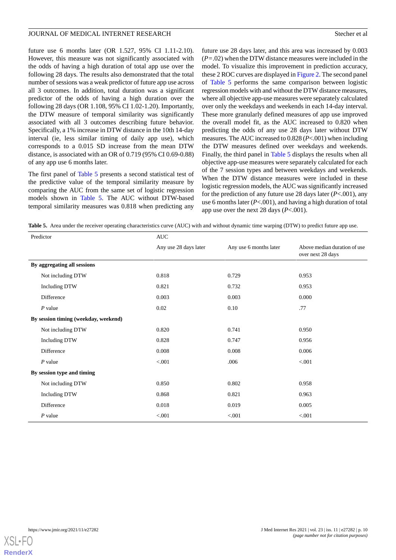future use 6 months later (OR 1.527, 95% CI 1.11-2.10). However, this measure was not significantly associated with the odds of having a high duration of total app use over the following 28 days. The results also demonstrated that the total number of sessions was a weak predictor of future app use across all 3 outcomes. In addition, total duration was a significant predictor of the odds of having a high duration over the following 28 days (OR 1.108, 95% CI 1.02-1.20). Importantly, the DTW measure of temporal similarity was significantly associated with all 3 outcomes describing future behavior. Specifically, a 1% increase in DTW distance in the 10th 14-day interval (ie, less similar timing of daily app use), which corresponds to a 0.015 SD increase from the mean DTW distance, is associated with an OR of 0.719 (95% CI 0.69-0.88) of any app use 6 months later.

The first panel of [Table 5](#page-11-0) presents a second statistical test of the predictive value of the temporal similarity measure by comparing the AUC from the same set of logistic regression models shown in [Table 5](#page-11-0). The AUC without DTW-based temporal similarity measures was 0.818 when predicting any

future use 28 days later, and this area was increased by 0.003 (*P=*.02) when the DTW distance measures were included in the model. To visualize this improvement in prediction accuracy, these 2 ROC curves are displayed in [Figure 2.](#page-12-0) The second panel of [Table 5](#page-11-0) performs the same comparison between logistic regression models with and without the DTW distance measures, where all objective app-use measures were separately calculated over only the weekdays and weekends in each 14-day interval. These more granularly defined measures of app use improved the overall model fit, as the AUC increased to 0.820 when predicting the odds of any use 28 days later without DTW measures. The AUC increased to 0.828 (*P*<.001) when including the DTW measures defined over weekdays and weekends. Finally, the third panel in [Table 5](#page-11-0) displays the results when all objective app-use measures were separately calculated for each of the 7 session types and between weekdays and weekends. When the DTW distance measures were included in these logistic regression models, the AUC was significantly increased for the prediction of any future use 28 days later (*P*<.001), any use 6 months later (*P*<.001), and having a high duration of total app use over the next 28 days (*P*<.001).

<span id="page-11-0"></span>**Table 5.** Area under the receiver operating characteristics curve (AUC) with and without dynamic time warping (DTW) to predict future app use.

| Predictor                            | <b>AUC</b>            |                        |                                                   |  |  |
|--------------------------------------|-----------------------|------------------------|---------------------------------------------------|--|--|
|                                      | Any use 28 days later | Any use 6 months later | Above median duration of use<br>over next 28 days |  |  |
| By aggregating all sessions          |                       |                        |                                                   |  |  |
| Not including DTW                    | 0.818                 | 0.729                  | 0.953                                             |  |  |
| Including DTW                        | 0.821                 | 0.732                  | 0.953                                             |  |  |
| Difference                           | 0.003                 | 0.003                  | 0.000                                             |  |  |
| $P$ value                            | 0.02                  | 0.10                   | .77                                               |  |  |
| By session timing (weekday, weekend) |                       |                        |                                                   |  |  |
| Not including DTW                    | 0.820                 | 0.741                  | 0.950                                             |  |  |
| Including DTW                        | 0.828                 | 0.747                  | 0.956                                             |  |  |
| Difference                           | 0.008                 | 0.008                  | 0.006                                             |  |  |
| $P$ value                            | < 0.001               | .006                   | < .001                                            |  |  |
| By session type and timing           |                       |                        |                                                   |  |  |
| Not including DTW                    | 0.850                 | 0.802                  | 0.958                                             |  |  |
| <b>Including DTW</b>                 | 0.868                 | 0.821                  | 0.963                                             |  |  |
| Difference                           | 0.018                 | 0.019                  | 0.005                                             |  |  |
| $P$ value                            | < 0.001               | < 0.001                | < .001                                            |  |  |

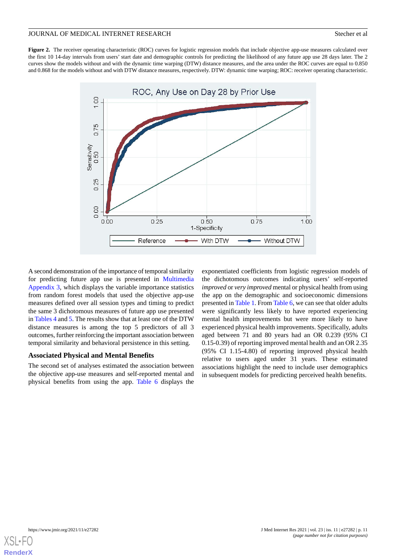<span id="page-12-0"></span>Figure 2. The receiver operating characteristic (ROC) curves for logistic regression models that include objective app-use measures calculated over the first 10 14-day intervals from users' start date and demographic controls for predicting the likelihood of any future app use 28 days later. The 2 curves show the models without and with the dynamic time warping (DTW) distance measures, and the area under the ROC curves are equal to 0.850 and 0.868 for the models without and with DTW distance measures, respectively. DTW: dynamic time warping; ROC: receiver operating characteristic.



A second demonstration of the importance of temporal similarity for predicting future app use is presented in [Multimedia](#page-16-3) [Appendix 3](#page-16-3), which displays the variable importance statistics from random forest models that used the objective app-use measures defined over all session types and timing to predict the same 3 dichotomous measures of future app use presented in [Tables 4](#page-10-0) and [5](#page-11-0). The results show that at least one of the DTW distance measures is among the top 5 predictors of all 3 outcomes, further reinforcing the important association between temporal similarity and behavioral persistence in this setting.

#### **Associated Physical and Mental Benefits**

The second set of analyses estimated the association between the objective app-use measures and self-reported mental and physical benefits from using the app. [Table 6](#page-13-0) displays the

exponentiated coefficients from logistic regression models of the dichotomous outcomes indicating users' self-reported *improved* or *very improved* mental or physical health from using the app on the demographic and socioeconomic dimensions presented in [Table 1.](#page-7-0) From [Table 6](#page-13-0), we can see that older adults were significantly less likely to have reported experiencing mental health improvements but were more likely to have experienced physical health improvements. Specifically, adults aged between 71 and 80 years had an OR 0.239 (95% CI 0.15-0.39) of reporting improved mental health and an OR 2.35 (95% CI 1.15-4.80) of reporting improved physical health relative to users aged under 31 years. These estimated associations highlight the need to include user demographics in subsequent models for predicting perceived health benefits.

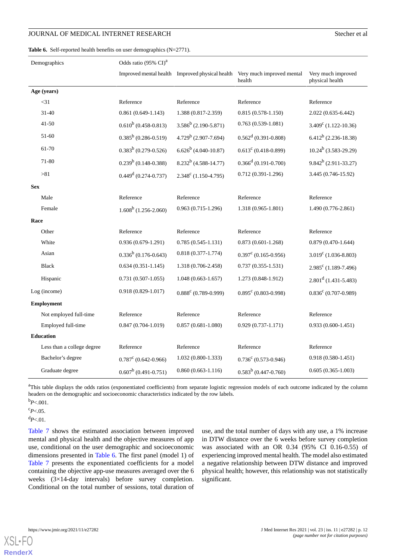#### <span id="page-13-0"></span>Table 6. Self-reported health benefits on user demographics (N=2771).

| Demographics               | Odds ratio (95% CI) <sup>a</sup> |                         |                                                                                     |                                       |  |
|----------------------------|----------------------------------|-------------------------|-------------------------------------------------------------------------------------|---------------------------------------|--|
|                            |                                  |                         | Improved mental health Improved physical health Very much improved mental<br>health | Very much improved<br>physical health |  |
| Age (years)                |                                  |                         |                                                                                     |                                       |  |
| $<$ 31                     | Reference                        | Reference               | Reference                                                                           | Reference                             |  |
| $31 - 40$                  | $0.861(0.649-1.143)$             | 1.388 (0.817-2.359)     | $0.815(0.578-1.150)$                                                                | $2.022(0.635 - 6.442)$                |  |
| $41-50$                    | $0.610^{b}$ (0.458-0.813)        | $3.586^b$ (2.190-5.871) | $0.763(0.539-1.081)$                                                                | $3.409^{\circ}$ (1.122-10.36)         |  |
| 51-60                      | $0.385^b$ (0.286-0.519)          | $4.729^b$ (2.907-7.694) | $0.562^d (0.391 - 0.808)$                                                           | $6.412^b$ (2.236-18.38)               |  |
| 61-70                      | $0.383^b$ (0.279-0.526)          | $6.626^b$ (4.040-10.87) | $0.613^c (0.418 - 0.899)$                                                           | $10.24^b$ (3.583-29.29)               |  |
| 71-80                      | $0.239^b$ (0.148-0.388)          | $8.232^b$ (4.588-14.77) | $0.366^d$ (0.191-0.700)                                                             | $9.842^b$ (2.911-33.27)               |  |
| > 81                       | $0.449d$ (0.274-0.737)           | $2.348^c$ (1.150-4.795) | $0.712(0.391 - 1.296)$                                                              | 3.445 (0.746-15.92)                   |  |
| <b>Sex</b>                 |                                  |                         |                                                                                     |                                       |  |
| Male                       | Reference                        | Reference               | Reference                                                                           | Reference                             |  |
| Female                     | $1.608^b$ (1.256-2.060)          | $0.963(0.715-1.296)$    | 1.318 (0.965-1.801)                                                                 | 1.490 (0.776-2.861)                   |  |
| Race                       |                                  |                         |                                                                                     |                                       |  |
| Other                      | Reference                        | Reference               | Reference                                                                           | Reference                             |  |
| White                      | $0.936(0.679-1.291)$             | $0.785(0.545-1.131)$    | $0.873(0.601-1.268)$                                                                | $0.879(0.470-1.644)$                  |  |
| Asian                      | $0.336^b$ (0.176-0.643)          | $0.818(0.377 - 1.774)$  | $0.397^c$ (0.165-0.956)                                                             | $3.019^{\circ}$ (1.036-8.803)         |  |
| <b>Black</b>               | $0.634(0.351-1.145)$             | 1.318 (0.706-2.458)     | $0.737(0.355 - 1.531)$                                                              | $2.985^{\circ}$ (1.189-7.496)         |  |
| Hispanic                   | $0.731(0.507 - 1.055)$           | $1.048(0.663 - 1.657)$  | 1.273 (0.848-1.912)                                                                 | $2.801d$ (1.431-5.483)                |  |
| Log (income)               | $0.918(0.829-1.017)$             | $0.888^c$ (0.789-0.999) | $0.895^{\circ}$ (0.803-0.998)                                                       | $0.836^c$ (0.707-0.989)               |  |
| <b>Employment</b>          |                                  |                         |                                                                                     |                                       |  |
| Not employed full-time     | Reference                        | Reference               | Reference                                                                           | Reference                             |  |
| Employed full-time         | $0.847(0.704-1.019)$             | $0.857(0.681 - 1.080)$  | $0.929(0.737 - 1.171)$                                                              | $0.933(0.600 - 1.451)$                |  |
| <b>Education</b>           |                                  |                         |                                                                                     |                                       |  |
| Less than a college degree | Reference                        | Reference               | Reference                                                                           | Reference                             |  |
| Bachelor's degree          | $0.787^{\circ}$ (0.642-0.966)    | $1.032(0.800-1.333)$    | $0.736^c$ (0.573-0.946)                                                             | $0.918(0.580-1.451)$                  |  |
| Graduate degree            | $0.607^b$ (0.491-0.751)          | $0.860(0.663 - 1.116)$  | $0.583^b$ (0.447-0.760)                                                             | $0.605(0.365-1.003)$                  |  |

<sup>a</sup>This table displays the odds ratios (exponentiated coefficients) from separate logistic regression models of each outcome indicated by the column headers on the demographic and socioeconomic characteristics indicated by the row labels.

 $b_{P<.001}$ .

 $c_{P<.05}$ .

 $d_{P<.01}$ .

[Table 7](#page-14-0) shows the estimated association between improved mental and physical health and the objective measures of app use, conditional on the user demographic and socioeconomic dimensions presented in [Table 6](#page-13-0). The first panel (model 1) of [Table 7](#page-14-0) presents the exponentiated coefficients for a model containing the objective app-use measures averaged over the 6 weeks (3×14-day intervals) before survey completion. Conditional on the total number of sessions, total duration of

use, and the total number of days with any use, a 1% increase in DTW distance over the 6 weeks before survey completion was associated with an OR 0.34 (95% CI 0.16-0.55) of experiencing improved mental health. The model also estimated a negative relationship between DTW distance and improved physical health; however, this relationship was not statistically significant.



 $XS$ l • FC **[RenderX](http://www.renderx.com/)**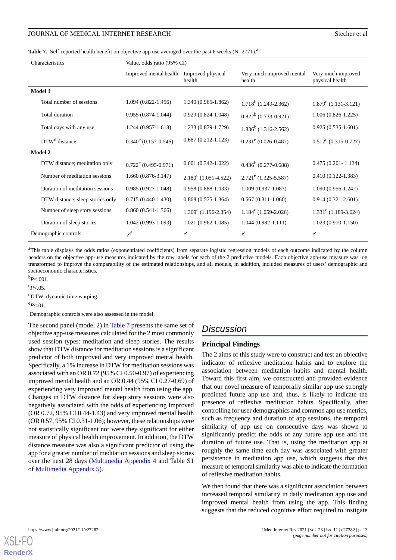<span id="page-14-0"></span>

|  |  | Table 7. Self-reported health benefit on objective app use averaged over the past 6 weeks $(N=2771)^{a}$ |  |  |
|--|--|----------------------------------------------------------------------------------------------------------|--|--|
|--|--|----------------------------------------------------------------------------------------------------------|--|--|

| Characteristics      |                                  | Value, odds ratio (95% CI)               |                               |                                     |                                       |  |  |
|----------------------|----------------------------------|------------------------------------------|-------------------------------|-------------------------------------|---------------------------------------|--|--|
|                      |                                  | Improved mental health Improved physical | health                        | Very much improved mental<br>health | Very much improved<br>physical health |  |  |
|                      | Model 1                          |                                          |                               |                                     |                                       |  |  |
|                      | Total number of sessions         | $1.094(0.822 - 1.456)$                   | 1.340 (0.965-1.862)           | $1.718^b$ (1.249-2.362)             | $1.879^{\circ}$ (1.131-3.121)         |  |  |
|                      | Total duration                   | $0.955(0.874-1.044)$                     | $0.929(0.824-1.048)$          | $0.822^b$ (0.733-0.921)             | $1.006(0.826-1.225)$                  |  |  |
|                      | Total days with any use          | $1.244(0.957-1.618)$                     | 1.233 (0.879-1.729)           | $1.836^b$ (1.316-2.562)             | $0.925(0.535-1.601)$                  |  |  |
|                      | DTW <sup>d</sup> distance        | $0.340^e$ (0.157-0.546)                  | $0.687(0.212 - 1.123)$        | $0.231^e (0.026 - 0.487)$           | $0.512^{\circ}$ (0.315-0.727)         |  |  |
| <b>Model 2</b>       |                                  |                                          |                               |                                     |                                       |  |  |
|                      | DTW distance; meditation only    | $0.722^{\circ}$ (0.495-0.971)            | $0.601(0.342-1.022)$          | $0.436^b$ (0.277-0.688)             | $0.475(0.201 - 1.124)$                |  |  |
|                      | Number of meditation sessions    | $1.660(0.876-3.147)$                     | $2.180^{\circ}$ (1.051-4.522) | $2.721^{\rm e}$ (1.325-5.587)       | $0.410(0.122 - 1.383)$                |  |  |
|                      | Duration of meditation sessions  | $0.985(0.927-1.048)$                     | $0.958(0.888-1.033)$          | $1.009(0.937-1.087)$                | $1.090(0.956-1.242)$                  |  |  |
|                      | DTW distance; sleep stories only | $0.715(0.440-1.430)$                     | $0.868(0.575-1.364)$          | $0.567(0.311-1.060)$                | $0.914(0.321 - 2.601)$                |  |  |
|                      | Number of sleep story sessions   | $0.860(0.541-1.366)$                     | $1.369^{\circ}$ (1.196-2.354) | $1.184^c$ (1.059-2.026)             | $1.331^e$ (1.189-3.624)               |  |  |
|                      | Duration of sleep stories        | $1.042(0.993-1.093)$                     | $1.021(0.962 - 1.085)$        | $1.044(0.982 - 1.111)$              | $1.023(0.910-1.150)$                  |  |  |
| Demographic controls |                                  | $\boldsymbol{\mathcal{N}}^\mathrm{f}$    | ✓                             | ✓                                   |                                       |  |  |

<sup>a</sup>This table displays the odds ratios (exponentiated coefficients) from separate logistic regression models of each outcome indicated by the column headers on the objective app-use measures indicated by the row labels for each of the 2 predictive models. Each objective app-use measure was log transformed to improve the comparability of the estimated relationships, and all models, in addition, included measures of users' demographic and socioeconomic characteristics.

<sup>b</sup>*P*<.001.

 $c_{P<.05}$ 

<sup>d</sup>DTW: dynamic time warping.

 $e_{P<.01}$ .

<sup>f</sup>Demographic controls were also assessed in the model.

The second panel (model 2) in [Table 7](#page-14-0) presents the same set of objective app-use measures calculated for the 2 most commonly used session types: meditation and sleep stories. The results show that DTW distance for meditation sessions is a significant predictor of both improved and very improved mental health. Specifically, a 1% increase in DTW for meditation sessions was associated with an OR 0.72 (95% CI 0.50-0.97) of experiencing improved mental health and an OR 0.44 (95% CI 0.27-0.69) of experiencing very improved mental health from using the app. Changes in DTW distance for sleep story sessions were also negatively associated with the odds of experiencing improved (OR 0.72, 95% CI 0.44-1.43) and very improved mental health (OR 0.57, 95% CI 0.31-1.06); however, these relationships were not statistically significant nor were they significant for either measure of physical health improvement. In addition, the DTW distance measure was also a significant predictor of using the app for a greater number of meditation sessions and sleep stories over the next 28 days [\(Multimedia Appendix 4](#page-16-4) and Table S1 of [Multimedia Appendix 5\)](#page-16-5).

# *Discussion*

#### **Principal Findings**

The 2 aims of this study were to construct and test an objective indicator of reflexive meditation habits and to explore the association between meditation habits and mental health. Toward this first aim, we constructed and provided evidence that our novel measure of temporally similar app use strongly predicted future app use and, thus, is likely to indicate the presence of reflexive meditation habits. Specifically, after controlling for user demographics and common app use metrics, such as frequency and duration of app sessions, the temporal similarity of app use on consecutive days was shown to significantly predict the odds of any future app use and the duration of future use. That is, using the meditation app at roughly the same time each day was associated with greater persistence in meditation app use, which suggests that this measure of temporal similarity was able to indicate the formation of reflexive meditation habits.

We then found that there was a significant association between increased temporal similarity in daily meditation app use and improved mental health from using the app. This finding suggests that the reduced cognitive effort required to instigate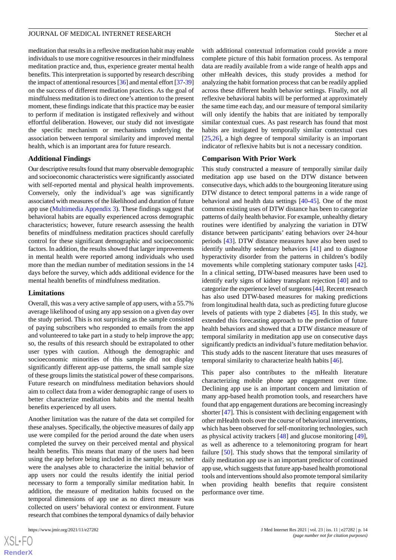meditation that results in a reflexive meditation habit may enable individuals to use more cognitive resources in their mindfulness meditation practice and, thus, experience greater mental health benefits. This interpretation is supported by research describing the impact of attentional resources [[36\]](#page-18-5) and mental effort [[37](#page-18-6)[-39](#page-18-7)] on the success of different meditation practices. As the goal of mindfulness meditation is to direct one's attention to the present moment, these findings indicate that this practice may be easier to perform if meditation is instigated reflexively and without effortful deliberation. However, our study did not investigate the specific mechanism or mechanisms underlying the association between temporal similarity and improved mental health, which is an important area for future research.

#### **Additional Findings**

Our descriptive results found that many observable demographic and socioeconomic characteristics were significantly associated with self-reported mental and physical health improvements. Conversely, only the individual's age was significantly associated with measures of the likelihood and duration of future app use [\(Multimedia Appendix 3](#page-16-3)). These findings suggest that behavioral habits are equally experienced across demographic characteristics; however, future research assessing the health benefits of mindfulness meditation practices should carefully control for these significant demographic and socioeconomic factors. In addition, the results showed that larger improvements in mental health were reported among individuals who used more than the median number of meditation sessions in the 14 days before the survey, which adds additional evidence for the mental health benefits of mindfulness meditation.

#### **Limitations**

Overall, this was a very active sample of app users, with a 55.7% average likelihood of using any app session on a given day over the study period. This is not surprising as the sample consisted of paying subscribers who responded to emails from the app and volunteered to take part in a study to help improve the app; so, the results of this research should be extrapolated to other user types with caution. Although the demographic and socioeconomic minorities of this sample did not display significantly different app-use patterns, the small sample size of these groups limits the statistical power of these comparisons. Future research on mindfulness meditation behaviors should aim to collect data from a wider demographic range of users to better characterize meditation habits and the mental health benefits experienced by all users.

Another limitation was the nature of the data set compiled for these analyses. Specifically, the objective measures of daily app use were compiled for the period around the date when users completed the survey on their perceived mental and physical health benefits. This means that many of the users had been using the app before being included in the sample; so, neither were the analyses able to characterize the initial behavior of app users nor could the results identify the initial period necessary to form a temporally similar meditation habit. In addition, the measure of meditation habits focused on the temporal dimensions of app use as no direct measure was collected on users' behavioral context or environment. Future research that combines the temporal dynamics of daily behavior

with additional contextual information could provide a more complete picture of this habit formation process. As temporal data are readily available from a wide range of health apps and other mHealth devices, this study provides a method for analyzing the habit formation process that can be readily applied across these different health behavior settings. Finally, not all reflexive behavioral habits will be performed at approximately the same time each day, and our measure of temporal similarity will only identify the habits that are initiated by temporally similar contextual cues. As past research has found that most habits are instigated by temporally similar contextual cues [[25,](#page-17-13)[26\]](#page-17-14), a high degree of temporal similarity is an important indicator of reflexive habits but is not a necessary condition.

#### **Comparison With Prior Work**

This study constructed a measure of temporally similar daily meditation app use based on the DTW distance between consecutive days, which adds to the bourgeoning literature using DTW distance to detect temporal patterns in a wide range of behavioral and health data settings [[40-](#page-18-8)[45](#page-18-9)]. One of the most common existing uses of DTW distance has been to categorize patterns of daily health behavior. For example, unhealthy dietary routines were identified by analyzing the variation in DTW distance between participants' eating behaviors over 24-hour periods [[43\]](#page-18-10). DTW distance measures have also been used to identify unhealthy sedentary behaviors [\[41](#page-18-11)] and to diagnose hyperactivity disorder from the patterns in children's bodily movements while completing stationary computer tasks [[42\]](#page-18-12). In a clinical setting, DTW-based measures have been used to identify early signs of kidney transplant rejection [[40\]](#page-18-8) and to categorize the experience level of surgeons [[44\]](#page-18-13). Recent research has also used DTW-based measures for making predictions from longitudinal health data, such as predicting future glucose levels of patients with type 2 diabetes [[45\]](#page-18-9). In this study, we extended this forecasting approach to the prediction of future health behaviors and showed that a DTW distance measure of temporal similarity in meditation app use on consecutive days significantly predicts an individual's future meditation behavior. This study adds to the nascent literature that uses measures of temporal similarity to characterize health habits [\[46](#page-18-14)].

This paper also contributes to the mHealth literature characterizing mobile phone app engagement over time. Declining app use is an important concern and limitation of many app-based health promotion tools, and researchers have found that app engagement durations are becoming increasingly shorter [[47\]](#page-18-15). This is consistent with declining engagement with other mHealth tools over the course of behavioral interventions, which has been observed for self-monitoring technologies, such as physical activity trackers [\[48](#page-18-16)] and glucose monitoring [[49\]](#page-18-17), as well as adherence to a telemonitoring program for heart failure [\[50](#page-18-18)]. This study shows that the temporal similarity of daily meditation app use is an important predictor of continued app use, which suggests that future app-based health promotional tools and interventions should also promote temporal similarity when providing health benefits that require consistent performance over time.

 $XS$ -FO **[RenderX](http://www.renderx.com/)**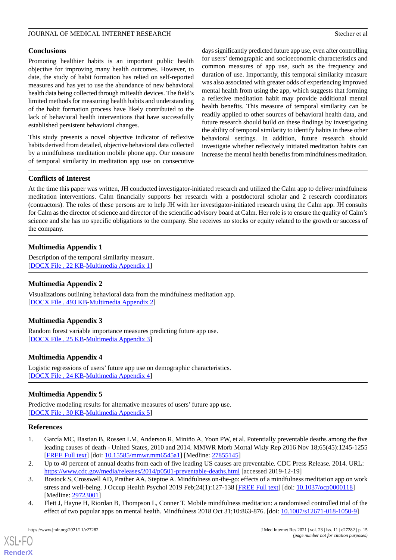# JOURNAL OF MEDICAL INTERNET RESEARCH Stecher et al.

#### **Conclusions**

Promoting healthier habits is an important public health objective for improving many health outcomes. However, to date, the study of habit formation has relied on self-reported measures and has yet to use the abundance of new behavioral health data being collected through mHealth devices. The field's limited methods for measuring health habits and understanding of the habit formation process have likely contributed to the lack of behavioral health interventions that have successfully established persistent behavioral changes.

This study presents a novel objective indicator of reflexive habits derived from detailed, objective behavioral data collected by a mindfulness meditation mobile phone app. Our measure of temporal similarity in meditation app use on consecutive

days significantly predicted future app use, even after controlling for users' demographic and socioeconomic characteristics and common measures of app use, such as the frequency and duration of use. Importantly, this temporal similarity measure was also associated with greater odds of experiencing improved mental health from using the app, which suggests that forming a reflexive meditation habit may provide additional mental health benefits. This measure of temporal similarity can be readily applied to other sources of behavioral health data, and future research should build on these findings by investigating the ability of temporal similarity to identify habits in these other behavioral settings. In addition, future research should investigate whether reflexively initiated meditation habits can increase the mental health benefits from mindfulness meditation.

## **Conflicts of Interest**

At the time this paper was written, JH conducted investigator-initiated research and utilized the Calm app to deliver mindfulness meditation interventions. Calm financially supports her research with a postdoctoral scholar and 2 research coordinators (contractors). The roles of these persons are to help JH with her investigator-initiated research using the Calm app. JH consults for Calm as the director of science and director of the scientific advisory board at Calm. Her role is to ensure the quality of Calm's science and she has no specific obligations to the company. She receives no stocks or equity related to the growth or success of the company.

# <span id="page-16-1"></span>**Multimedia Appendix 1**

<span id="page-16-2"></span>Description of the temporal similarity measure. [[DOCX File , 22 KB](https://jmir.org/api/download?alt_name=jmir_v23i11e27282_app1.docx&filename=f40c83c93f7354b985569e517499658a.docx)-[Multimedia Appendix 1\]](https://jmir.org/api/download?alt_name=jmir_v23i11e27282_app1.docx&filename=f40c83c93f7354b985569e517499658a.docx)

# <span id="page-16-3"></span>**Multimedia Appendix 2**

Visualizations outlining behavioral data from the mindfulness meditation app. [[DOCX File , 493 KB-Multimedia Appendix 2\]](https://jmir.org/api/download?alt_name=jmir_v23i11e27282_app2.docx&filename=9c0a5bf33abfb9e3acc6b29e388e7cee.docx)

# <span id="page-16-4"></span>**Multimedia Appendix 3**

Random forest variable importance measures predicting future app use. [[DOCX File , 25 KB](https://jmir.org/api/download?alt_name=jmir_v23i11e27282_app3.docx&filename=baa877d49eeb5062b04aebfc303a8b99.docx)-[Multimedia Appendix 3\]](https://jmir.org/api/download?alt_name=jmir_v23i11e27282_app3.docx&filename=baa877d49eeb5062b04aebfc303a8b99.docx)

# <span id="page-16-5"></span>**Multimedia Appendix 4**

Logistic regressions of users' future app use on demographic characteristics. [[DOCX File , 24 KB](https://jmir.org/api/download?alt_name=jmir_v23i11e27282_app4.docx&filename=95cc5fdc5915e05ed419b821888872b5.docx)-[Multimedia Appendix 4\]](https://jmir.org/api/download?alt_name=jmir_v23i11e27282_app4.docx&filename=95cc5fdc5915e05ed419b821888872b5.docx)

# <span id="page-16-0"></span>**Multimedia Appendix 5**

Predictive modeling results for alternative measures of users' future app use. [[DOCX File , 30 KB](https://jmir.org/api/download?alt_name=jmir_v23i11e27282_app5.docx&filename=a8626cf0a1ef23a10e0c9428faa4949d.docx)-[Multimedia Appendix 5\]](https://jmir.org/api/download?alt_name=jmir_v23i11e27282_app5.docx&filename=a8626cf0a1ef23a10e0c9428faa4949d.docx)

#### **References**

- 1. García MC, Bastian B, Rossen LM, Anderson R, Miniño A, Yoon PW, et al. Potentially preventable deaths among the five leading causes of death - United States, 2010 and 2014. MMWR Morb Mortal Wkly Rep 2016 Nov 18;65(45):1245-1255 [[FREE Full text](https://doi.org/10.15585/mmwr.mm6545a1)] [doi: [10.15585/mmwr.mm6545a1\]](http://dx.doi.org/10.15585/mmwr.mm6545a1) [Medline: [27855145\]](http://www.ncbi.nlm.nih.gov/entrez/query.fcgi?cmd=Retrieve&db=PubMed&list_uids=27855145&dopt=Abstract)
- 2. Up to 40 percent of annual deaths from each of five leading US causes are preventable. CDC Press Release. 2014. URL: <https://www.cdc.gov/media/releases/2014/p0501-preventable-deaths.html> [accessed 2019-12-19]
- 3. Bostock S, Crosswell AD, Prather AA, Steptoe A. Mindfulness on-the-go: effects of a mindfulness meditation app on work stress and well-being. J Occup Health Psychol 2019 Feb;24(1):127-138 [\[FREE Full text\]](http://europepmc.org/abstract/MED/29723001) [doi: [10.1037/ocp0000118](http://dx.doi.org/10.1037/ocp0000118)] [Medline: [29723001](http://www.ncbi.nlm.nih.gov/entrez/query.fcgi?cmd=Retrieve&db=PubMed&list_uids=29723001&dopt=Abstract)]
- 4. Flett J, Hayne H, Riordan B, Thompson L, Conner T. Mobile mindfulness meditation: a randomised controlled trial of the effect of two popular apps on mental health. Mindfulness 2018 Oct 31;10:863-876. [doi: [10.1007/s12671-018-1050-9\]](http://dx.doi.org/10.1007/s12671-018-1050-9)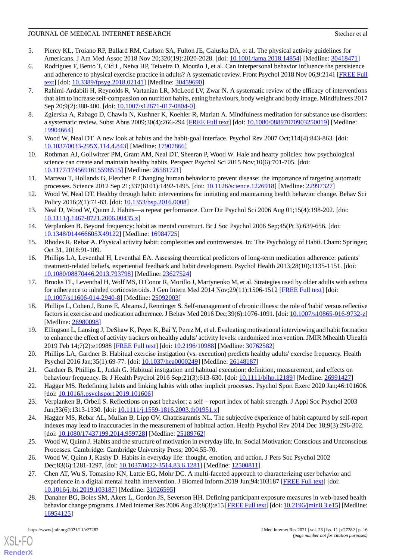- <span id="page-17-0"></span>5. Piercy KL, Troiano RP, Ballard RM, Carlson SA, Fulton JE, Galuska DA, et al. The physical activity guidelines for Americans. J Am Med Assoc 2018 Nov 20;320(19):2020-2028. [doi: [10.1001/jama.2018.14854](http://dx.doi.org/10.1001/jama.2018.14854)] [Medline: [30418471](http://www.ncbi.nlm.nih.gov/entrez/query.fcgi?cmd=Retrieve&db=PubMed&list_uids=30418471&dopt=Abstract)]
- <span id="page-17-1"></span>6. Rodrigues F, Bento T, Cid L, Neiva HP, Teixeira D, Moutão J, et al. Can interpersonal behavior influence the persistence and adherence to physical exercise practice in adults? A systematic review. Front Psychol 2018 Nov 06;9:2141 [\[FREE Full](https://doi.org/10.3389/fpsyg.2018.02141) [text](https://doi.org/10.3389/fpsyg.2018.02141)] [doi: [10.3389/fpsyg.2018.02141](http://dx.doi.org/10.3389/fpsyg.2018.02141)] [Medline: [30459690\]](http://www.ncbi.nlm.nih.gov/entrez/query.fcgi?cmd=Retrieve&db=PubMed&list_uids=30459690&dopt=Abstract)
- 7. Rahimi-Ardabili H, Reynolds R, Vartanian LR, McLeod LV, Zwar N. A systematic review of the efficacy of interventions that aim to increase self-compassion on nutrition habits, eating behaviours, body weight and body image. Mindfulness 2017 Sep 20;9(2):388-400. [doi: [10.1007/s12671-017-0804-0](http://dx.doi.org/10.1007/s12671-017-0804-0)]
- <span id="page-17-3"></span><span id="page-17-2"></span>8. Zgierska A, Rabago D, Chawla N, Kushner K, Koehler R, Marlatt A. Mindfulness meditation for substance use disorders: a systematic review. Subst Abus 2009;30(4):266-294 [[FREE Full text](http://europepmc.org/abstract/MED/19904664)] [doi: [10.1080/08897070903250019\]](http://dx.doi.org/10.1080/08897070903250019) [Medline: [19904664](http://www.ncbi.nlm.nih.gov/entrez/query.fcgi?cmd=Retrieve&db=PubMed&list_uids=19904664&dopt=Abstract)]
- 9. Wood W, Neal DT. A new look at habits and the habit-goal interface. Psychol Rev 2007 Oct;114(4):843-863. [doi: [10.1037/0033-295X.114.4.843\]](http://dx.doi.org/10.1037/0033-295X.114.4.843) [Medline: [17907866\]](http://www.ncbi.nlm.nih.gov/entrez/query.fcgi?cmd=Retrieve&db=PubMed&list_uids=17907866&dopt=Abstract)
- <span id="page-17-4"></span>10. Rothman AJ, Gollwitzer PM, Grant AM, Neal DT, Sheeran P, Wood W. Hale and hearty policies: how psychological science can create and maintain healthy habits. Perspect Psychol Sci 2015 Nov;10(6):701-705. [doi: [10.1177/1745691615598515\]](http://dx.doi.org/10.1177/1745691615598515) [Medline: [26581721\]](http://www.ncbi.nlm.nih.gov/entrez/query.fcgi?cmd=Retrieve&db=PubMed&list_uids=26581721&dopt=Abstract)
- <span id="page-17-5"></span>11. Marteau T, Hollands G, Fletcher P. Changing human behavior to prevent disease: the importance of targeting automatic processes. Science 2012 Sep 21;337(6101):1492-1495. [doi: [10.1126/science.1226918\]](http://dx.doi.org/10.1126/science.1226918) [Medline: [22997327](http://www.ncbi.nlm.nih.gov/entrez/query.fcgi?cmd=Retrieve&db=PubMed&list_uids=22997327&dopt=Abstract)]
- 12. Wood W, Neal DT. Healthy through habit: interventions for initiating and maintaining health behavior change. Behav Sci Policy 2016;2(1):71-83. [doi: [10.1353/bsp.2016.0008](http://dx.doi.org/10.1353/bsp.2016.0008)]
- <span id="page-17-6"></span>13. Neal D, Wood W, Quinn J. Habits—a repeat performance. Curr Dir Psychol Sci 2006 Aug 01;15(4):198-202. [doi: [10.1111/j.1467-8721.2006.00435.x\]](http://dx.doi.org/10.1111/j.1467-8721.2006.00435.x)
- <span id="page-17-8"></span><span id="page-17-7"></span>14. Verplanken B. Beyond frequency: habit as mental construct. Br J Soc Psychol 2006 Sep;45(Pt 3):639-656. [doi: [10.1348/014466605X49122](http://dx.doi.org/10.1348/014466605X49122)] [Medline: [16984725\]](http://www.ncbi.nlm.nih.gov/entrez/query.fcgi?cmd=Retrieve&db=PubMed&list_uids=16984725&dopt=Abstract)
- 15. Rhodes R, Rebar A. Physical activity habit: complexities and controversies. In: The Psychology of Habit. Cham: Springer; Oct 31, 2018:91-109.
- 16. Phillips LA, Leventhal H, Leventhal EA. Assessing theoretical predictors of long-term medication adherence: patients' treatment-related beliefs, experiential feedback and habit development. Psychol Health 2013;28(10):1135-1151. [doi: [10.1080/08870446.2013.793798\]](http://dx.doi.org/10.1080/08870446.2013.793798) [Medline: [23627524\]](http://www.ncbi.nlm.nih.gov/entrez/query.fcgi?cmd=Retrieve&db=PubMed&list_uids=23627524&dopt=Abstract)
- 17. Brooks TL, Leventhal H, Wolf MS, O'Conor R, Morillo J, Martynenko M, et al. Strategies used by older adults with asthma for adherence to inhaled corticosteroids. J Gen Intern Med 2014 Nov;29(11):1506-1512 [[FREE Full text\]](http://europepmc.org/abstract/MED/25092003) [doi: [10.1007/s11606-014-2940-8\]](http://dx.doi.org/10.1007/s11606-014-2940-8) [Medline: [25092003](http://www.ncbi.nlm.nih.gov/entrez/query.fcgi?cmd=Retrieve&db=PubMed&list_uids=25092003&dopt=Abstract)]
- 18. Phillips L, Cohen J, Burns E, Abrams J, Renninger S. Self-management of chronic illness: the role of 'habit' versus reflective factors in exercise and medication adherence. J Behav Med 2016 Dec;39(6):1076-1091. [doi: [10.1007/s10865-016-9732-z](http://dx.doi.org/10.1007/s10865-016-9732-z)] [Medline: [26980098](http://www.ncbi.nlm.nih.gov/entrez/query.fcgi?cmd=Retrieve&db=PubMed&list_uids=26980098&dopt=Abstract)]
- <span id="page-17-9"></span>19. Ellingson L, Lansing J, DeShaw K, Peyer K, Bai Y, Perez M, et al. Evaluating motivational interviewing and habit formation to enhance the effect of activity trackers on healthy adults' activity levels: randomized intervention. JMIR Mhealth Uhealth 2019 Feb 14;7(2):e10988 [\[FREE Full text](https://mhealth.jmir.org/2019/2/e10988/)] [doi: [10.2196/10988\]](http://dx.doi.org/10.2196/10988) [Medline: [30762582\]](http://www.ncbi.nlm.nih.gov/entrez/query.fcgi?cmd=Retrieve&db=PubMed&list_uids=30762582&dopt=Abstract)
- <span id="page-17-10"></span>20. Phillips LA, Gardner B. Habitual exercise instigation (vs. execution) predicts healthy adults' exercise frequency. Health Psychol 2016 Jan;35(1):69-77. [doi: [10.1037/hea0000249\]](http://dx.doi.org/10.1037/hea0000249) [Medline: [26148187](http://www.ncbi.nlm.nih.gov/entrez/query.fcgi?cmd=Retrieve&db=PubMed&list_uids=26148187&dopt=Abstract)]
- <span id="page-17-12"></span><span id="page-17-11"></span>21. Gardner B, Phillips L, Judah G. Habitual instigation and habitual execution: definition, measurement, and effects on behaviour frequency. Br J Health Psychol 2016 Sep;21(3):613-630. [doi: [10.1111/bjhp.12189](http://dx.doi.org/10.1111/bjhp.12189)] [Medline: [26991427\]](http://www.ncbi.nlm.nih.gov/entrez/query.fcgi?cmd=Retrieve&db=PubMed&list_uids=26991427&dopt=Abstract)
- 22. Hagger MS. Redefining habits and linking habits with other implicit processes. Psychol Sport Exerc 2020 Jan;46:101606. [doi: [10.1016/j.psychsport.2019.101606\]](http://dx.doi.org/10.1016/j.psychsport.2019.101606)
- <span id="page-17-13"></span>23. Verplanken B, Orbell S. Reflections on past behavior: a self - report index of habit strength. J Appl Soc Psychol 2003 Jun;33(6):1313-1330. [doi: [10.1111/j.1559-1816.2003.tb01951.x](http://dx.doi.org/10.1111/j.1559-1816.2003.tb01951.x)]
- <span id="page-17-15"></span><span id="page-17-14"></span>24. Hagger MS, Rebar AL, Mullan B, Lipp OV, Chatzisarantis NL. The subjective experience of habit captured by self-report indexes may lead to inaccuracies in the measurement of habitual action. Health Psychol Rev 2014 Dec 18;9(3):296-302. [doi: [10.1080/17437199.2014.959728](http://dx.doi.org/10.1080/17437199.2014.959728)] [Medline: [25189762\]](http://www.ncbi.nlm.nih.gov/entrez/query.fcgi?cmd=Retrieve&db=PubMed&list_uids=25189762&dopt=Abstract)
- 25. Wood W, Quinn J. Habits and the structure of motivation in everyday life. In: Social Motivation: Conscious and Unconscious Processes. Cambridge: Cambridge University Press; 2004:55-70.
- 26. Wood W, Quinn J, Kashy D. Habits in everyday life: thought, emotion, and action. J Pers Soc Psychol 2002 Dec;83(6):1281-1297. [doi: [10.1037/0022-3514.83.6.1281\]](http://dx.doi.org/10.1037/0022-3514.83.6.1281) [Medline: [12500811](http://www.ncbi.nlm.nih.gov/entrez/query.fcgi?cmd=Retrieve&db=PubMed&list_uids=12500811&dopt=Abstract)]
- 27. Chen AT, Wu S, Tomasino KN, Lattie EG, Mohr DC. A multi-faceted approach to characterizing user behavior and experience in a digital mental health intervention. J Biomed Inform 2019 Jun;94:103187 [[FREE Full text](https://linkinghub.elsevier.com/retrieve/pii/S1532-0464(19)30105-4)] [doi: [10.1016/j.jbi.2019.103187\]](http://dx.doi.org/10.1016/j.jbi.2019.103187) [Medline: [31026595](http://www.ncbi.nlm.nih.gov/entrez/query.fcgi?cmd=Retrieve&db=PubMed&list_uids=31026595&dopt=Abstract)]
- 28. Danaher BG, Boles SM, Akers L, Gordon JS, Severson HH. Defining participant exposure measures in web-based health behavior change programs. J Med Internet Res 2006 Aug 30;8(3):e15 [[FREE Full text](http://www.jmir.org/2006/3/e15/)] [doi: [10.2196/jmir.8.3.e15\]](http://dx.doi.org/10.2196/jmir.8.3.e15) [Medline: [16954125](http://www.ncbi.nlm.nih.gov/entrez/query.fcgi?cmd=Retrieve&db=PubMed&list_uids=16954125&dopt=Abstract)]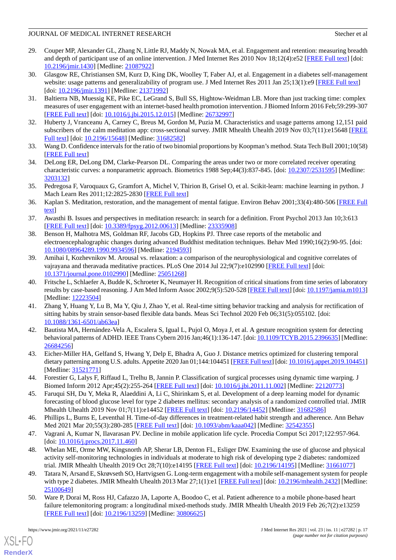- 29. Couper MP, Alexander GL, Zhang N, Little RJ, Maddy N, Nowak MA, et al. Engagement and retention: measuring breadth and depth of participant use of an online intervention. J Med Internet Res 2010 Nov 18;12(4):e52 [\[FREE Full text\]](http://www.jmir.org/2010/4/e52/) [doi: [10.2196/jmir.1430](http://dx.doi.org/10.2196/jmir.1430)] [Medline: [21087922](http://www.ncbi.nlm.nih.gov/entrez/query.fcgi?cmd=Retrieve&db=PubMed&list_uids=21087922&dopt=Abstract)]
- 30. Glasgow RE, Christiansen SM, Kurz D, King DK, Woolley T, Faber AJ, et al. Engagement in a diabetes self-management website: usage patterns and generalizability of program use. J Med Internet Res 2011 Jan 25;13(1):e9 [\[FREE Full text](http://www.jmir.org/2011/1/e9/)] [doi: [10.2196/jmir.1391\]](http://dx.doi.org/10.2196/jmir.1391) [Medline: [21371992\]](http://www.ncbi.nlm.nih.gov/entrez/query.fcgi?cmd=Retrieve&db=PubMed&list_uids=21371992&dopt=Abstract)
- <span id="page-18-1"></span><span id="page-18-0"></span>31. Baltierra NB, Muessig KE, Pike EC, LeGrand S, Bull SS, Hightow-Weidman LB. More than just tracking time: complex measures of user engagement with an internet-based health promotion intervention. J Biomed Inform 2016 Feb;59:299-307 [[FREE Full text](https://linkinghub.elsevier.com/retrieve/pii/S1532-0464(15)00295-6)] [doi: [10.1016/j.jbi.2015.12.015](http://dx.doi.org/10.1016/j.jbi.2015.12.015)] [Medline: [26732997\]](http://www.ncbi.nlm.nih.gov/entrez/query.fcgi?cmd=Retrieve&db=PubMed&list_uids=26732997&dopt=Abstract)
- <span id="page-18-2"></span>32. Huberty J, Vranceanu A, Carney C, Breus M, Gordon M, Puzia M. Characteristics and usage patterns among 12,151 paid subscribers of the calm meditation app: cross-sectional survey. JMIR Mhealth Uhealth 2019 Nov 03;7(11):e15648 [\[FREE](https://mhealth.jmir.org/2019/11/e15648/) [Full text\]](https://mhealth.jmir.org/2019/11/e15648/) [doi: [10.2196/15648\]](http://dx.doi.org/10.2196/15648) [Medline: [31682582](http://www.ncbi.nlm.nih.gov/entrez/query.fcgi?cmd=Retrieve&db=PubMed&list_uids=31682582&dopt=Abstract)]
- <span id="page-18-3"></span>33. Wang D. Confidence intervals for the ratio of two binomial proportions by Koopman's method. Stata Tech Bull 2001;10(58) [[FREE Full text](https://econpapers.repec.org/article/tsjstbull/y_3a2001_3av_3a10_3ai_3a58_3asg154.htm)]
- <span id="page-18-4"></span>34. DeLong ER, DeLong DM, Clarke-Pearson DL. Comparing the areas under two or more correlated receiver operating characteristic curves: a nonparametric approach. Biometrics 1988 Sep;44(3):837-845. [doi: [10.2307/2531595\]](http://dx.doi.org/10.2307/2531595) [Medline: [3203132\]](http://www.ncbi.nlm.nih.gov/entrez/query.fcgi?cmd=Retrieve&db=PubMed&list_uids=3203132&dopt=Abstract)
- <span id="page-18-5"></span>35. Pedregosa F, Varoquaux G, Gramfort A, Michel V, Thirion B, Grisel O, et al. Scikit-learn: machine learning in python. J Mach Learn Res 2011;12:2825-2830 [[FREE Full text](https://www.jmlr.org/papers/volume12/pedregosa11a/pedregosa11a.pdf)]
- <span id="page-18-6"></span>36. Kaplan S. Meditation, restoration, and the management of mental fatigue. Environ Behav 2001;33(4):480-506 [[FREE Full](https://www.nrs.fs.fed.us/pubs/jrnl/2001/nc_2001_kaplan_005.pdf) [text](https://www.nrs.fs.fed.us/pubs/jrnl/2001/nc_2001_kaplan_005.pdf)]
- 37. Awasthi B. Issues and perspectives in meditation research: in search for a definition. Front Psychol 2013 Jan 10;3:613 [[FREE Full text](https://doi.org/10.3389/fpsyg.2012.00613)] [doi: [10.3389/fpsyg.2012.00613\]](http://dx.doi.org/10.3389/fpsyg.2012.00613) [Medline: [23335908\]](http://www.ncbi.nlm.nih.gov/entrez/query.fcgi?cmd=Retrieve&db=PubMed&list_uids=23335908&dopt=Abstract)
- <span id="page-18-7"></span>38. Benson H, Malhotra MS, Goldman RF, Jacobs GD, Hopkins PJ. Three case reports of the metabolic and electroencephalographic changes during advanced Buddhist meditation techniques. Behav Med 1990;16(2):90-95. [doi: [10.1080/08964289.1990.9934596\]](http://dx.doi.org/10.1080/08964289.1990.9934596) [Medline: [2194593\]](http://www.ncbi.nlm.nih.gov/entrez/query.fcgi?cmd=Retrieve&db=PubMed&list_uids=2194593&dopt=Abstract)
- <span id="page-18-8"></span>39. Amihai I, Kozhevnikov M. Arousal vs. relaxation: a comparison of the neurophysiological and cognitive correlates of vajrayana and theravada meditative practices. PLoS One 2014 Jul 22;9(7):e102990 [\[FREE Full text\]](https://dx.plos.org/10.1371/journal.pone.0102990) [doi: [10.1371/journal.pone.0102990\]](http://dx.doi.org/10.1371/journal.pone.0102990) [Medline: [25051268](http://www.ncbi.nlm.nih.gov/entrez/query.fcgi?cmd=Retrieve&db=PubMed&list_uids=25051268&dopt=Abstract)]
- <span id="page-18-11"></span>40. Fritsche L, Schlaefer A, Budde K, Schroeter K, Neumayer H. Recognition of critical situations from time series of laboratory results by case-based reasoning. J Am Med Inform Assoc 2002;9(5):520-528 [[FREE Full text](http://europepmc.org/abstract/MED/12223504)] [doi: [10.1197/jamia.m1013](http://dx.doi.org/10.1197/jamia.m1013)] [Medline: [12223504](http://www.ncbi.nlm.nih.gov/entrez/query.fcgi?cmd=Retrieve&db=PubMed&list_uids=12223504&dopt=Abstract)]
- <span id="page-18-12"></span>41. Zhang Y, Huang Y, Lu B, Ma Y, Qiu J, Zhao Y, et al. Real-time sitting behavior tracking and analysis for rectification of sitting habits by strain sensor-based flexible data bands. Meas Sci Technol 2020 Feb 06;31(5):055102. [doi: [10.1088/1361-6501/ab63ea](http://dx.doi.org/10.1088/1361-6501/ab63ea)]
- <span id="page-18-13"></span><span id="page-18-10"></span>42. Bautista MA, Hernández-Vela A, Escalera S, Igual L, Pujol O, Moya J, et al. A gesture recognition system for detecting behavioral patterns of ADHD. IEEE Trans Cybern 2016 Jan;46(1):136-147. [doi: [10.1109/TCYB.2015.2396635](http://dx.doi.org/10.1109/TCYB.2015.2396635)] [Medline: [26684256](http://www.ncbi.nlm.nih.gov/entrez/query.fcgi?cmd=Retrieve&db=PubMed&list_uids=26684256&dopt=Abstract)]
- <span id="page-18-9"></span>43. Eicher-Miller HA, Gelfand S, Hwang Y, Delp E, Bhadra A, Guo J. Distance metrics optimized for clustering temporal dietary patterning among U.S. adults. Appetite 2020 Jan 01;144:104451 [\[FREE Full text\]](http://europepmc.org/abstract/MED/31521771) [doi: [10.1016/j.appet.2019.104451](http://dx.doi.org/10.1016/j.appet.2019.104451)] [Medline: [31521771](http://www.ncbi.nlm.nih.gov/entrez/query.fcgi?cmd=Retrieve&db=PubMed&list_uids=31521771&dopt=Abstract)]
- <span id="page-18-14"></span>44. Forestier G, Lalys F, Riffaud L, Trelhu B, Jannin P. Classification of surgical processes using dynamic time warping. J Biomed Inform 2012 Apr;45(2):255-264 [\[FREE Full text\]](https://linkinghub.elsevier.com/retrieve/pii/S1532-0464(11)00190-0) [doi: [10.1016/j.jbi.2011.11.002\]](http://dx.doi.org/10.1016/j.jbi.2011.11.002) [Medline: [22120773](http://www.ncbi.nlm.nih.gov/entrez/query.fcgi?cmd=Retrieve&db=PubMed&list_uids=22120773&dopt=Abstract)]
- <span id="page-18-16"></span><span id="page-18-15"></span>45. Faruqui SH, Du Y, Meka R, Alaeddini A, Li C, Shirinkam S, et al. Development of a deep learning model for dynamic forecasting of blood glucose level for type 2 diabetes mellitus: secondary analysis of a randomized controlled trial. JMIR Mhealth Uhealth 2019 Nov 01;7(11):e14452 [\[FREE Full text\]](https://mhealth.jmir.org/2019/11/e14452/) [doi: [10.2196/14452\]](http://dx.doi.org/10.2196/14452) [Medline: [31682586\]](http://www.ncbi.nlm.nih.gov/entrez/query.fcgi?cmd=Retrieve&db=PubMed&list_uids=31682586&dopt=Abstract)
- 46. Phillips L, Burns E, Leventhal H. Time-of-day differences in treatment-related habit strength and adherence. Ann Behav Med 2021 Mar 20;55(3):280-285 [\[FREE Full text\]](http://europepmc.org/abstract/MED/32542355) [doi: [10.1093/abm/kaaa042\]](http://dx.doi.org/10.1093/abm/kaaa042) [Medline: [32542355](http://www.ncbi.nlm.nih.gov/entrez/query.fcgi?cmd=Retrieve&db=PubMed&list_uids=32542355&dopt=Abstract)]
- <span id="page-18-17"></span>47. Vagrani A, Kumar N, Ilavarasan PV. Decline in mobile application life cycle. Procedia Comput Sci 2017;122:957-964. [doi: 10.1016/*j.procs.2017.11.460]*
- <span id="page-18-18"></span>48. Whelan ME, Orme MW, Kingsnorth AP, Sherar LB, Denton FL, Esliger DW. Examining the use of glucose and physical activity self-monitoring technologies in individuals at moderate to high risk of developing type 2 diabetes: randomized trial. JMIR Mhealth Uhealth 2019 Oct 28;7(10):e14195 [[FREE Full text](https://mhealth.jmir.org/2019/10/e14195/)] [doi: [10.2196/14195\]](http://dx.doi.org/10.2196/14195) [Medline: [31661077](http://www.ncbi.nlm.nih.gov/entrez/query.fcgi?cmd=Retrieve&db=PubMed&list_uids=31661077&dopt=Abstract)]
- 49. Tatara N, Arsand E, Skrøvseth SO, Hartvigsen G. Long-term engagement with a mobile self-management system for people with type 2 diabetes. JMIR Mhealth Uhealth 2013 Mar 27;1(1):e1 [[FREE Full text\]](http://mhealth.jmir.org/2013/1/e1/) [doi: [10.2196/mhealth.2432\]](http://dx.doi.org/10.2196/mhealth.2432) [Medline: [25100649](http://www.ncbi.nlm.nih.gov/entrez/query.fcgi?cmd=Retrieve&db=PubMed&list_uids=25100649&dopt=Abstract)]
- 50. Ware P, Dorai M, Ross HJ, Cafazzo JA, Laporte A, Boodoo C, et al. Patient adherence to a mobile phone-based heart failure telemonitoring program: a longitudinal mixed-methods study. JMIR Mhealth Uhealth 2019 Feb 26;7(2):e13259 [[FREE Full text](https://mhealth.jmir.org/2019/2/e13259/)] [doi: [10.2196/13259\]](http://dx.doi.org/10.2196/13259) [Medline: [30806625\]](http://www.ncbi.nlm.nih.gov/entrez/query.fcgi?cmd=Retrieve&db=PubMed&list_uids=30806625&dopt=Abstract)